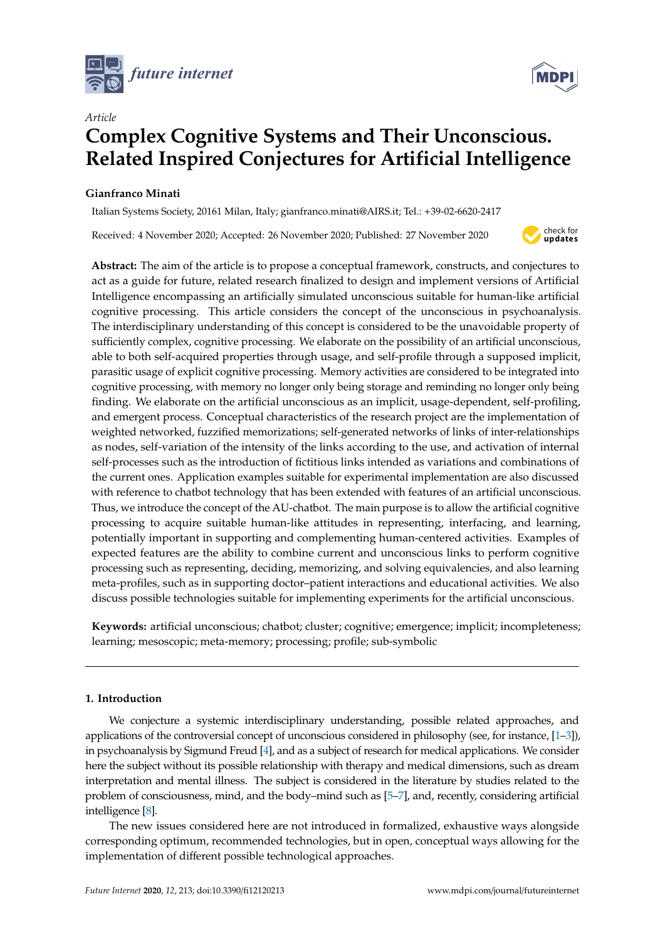



# *Article* **Complex Cognitive Systems and Their Unconscious. Related Inspired Conjectures for Artificial Intelligence**

# **Gianfranco Minati**

Italian Systems Society, 20161 Milan, Italy; gianfranco.minati@AIRS.it; Tel.: +39-02-6620-2417

Received: 4 November 2020; Accepted: 26 November 2020; Published: 27 November 2020



**Abstract:** The aim of the article is to propose a conceptual framework, constructs, and conjectures to act as a guide for future, related research finalized to design and implement versions of Artificial Intelligence encompassing an artificially simulated unconscious suitable for human-like artificial cognitive processing. This article considers the concept of the unconscious in psychoanalysis. The interdisciplinary understanding of this concept is considered to be the unavoidable property of sufficiently complex, cognitive processing. We elaborate on the possibility of an artificial unconscious, able to both self-acquired properties through usage, and self-profile through a supposed implicit, parasitic usage of explicit cognitive processing. Memory activities are considered to be integrated into cognitive processing, with memory no longer only being storage and reminding no longer only being finding. We elaborate on the artificial unconscious as an implicit, usage-dependent, self-profiling, and emergent process. Conceptual characteristics of the research project are the implementation of weighted networked, fuzzified memorizations; self-generated networks of links of inter-relationships as nodes, self-variation of the intensity of the links according to the use, and activation of internal self-processes such as the introduction of fictitious links intended as variations and combinations of the current ones. Application examples suitable for experimental implementation are also discussed with reference to chatbot technology that has been extended with features of an artificial unconscious. Thus, we introduce the concept of the AU-chatbot. The main purpose is to allow the artificial cognitive processing to acquire suitable human-like attitudes in representing, interfacing, and learning, potentially important in supporting and complementing human-centered activities. Examples of expected features are the ability to combine current and unconscious links to perform cognitive processing such as representing, deciding, memorizing, and solving equivalencies, and also learning meta-profiles, such as in supporting doctor–patient interactions and educational activities. We also discuss possible technologies suitable for implementing experiments for the artificial unconscious.

**Keywords:** artificial unconscious; chatbot; cluster; cognitive; emergence; implicit; incompleteness; learning; mesoscopic; meta-memory; processing; profile; sub-symbolic

# **1. Introduction**

We conjecture a systemic interdisciplinary understanding, possible related approaches, and applications of the controversial concept of unconscious considered in philosophy (see, for instance, [\[1–](#page-19-0)[3\]](#page-19-1)), in psychoanalysis by Sigmund Freud [\[4\]](#page-19-2), and as a subject of research for medical applications. We consider here the subject without its possible relationship with therapy and medical dimensions, such as dream interpretation and mental illness. The subject is considered in the literature by studies related to the problem of consciousness, mind, and the body–mind such as [\[5–](#page-19-3)[7\]](#page-19-4), and, recently, considering artificial intelligence [\[8\]](#page-19-5).

The new issues considered here are not introduced in formalized, exhaustive ways alongside corresponding optimum, recommended technologies, but in open, conceptual ways allowing for the implementation of different possible technological approaches.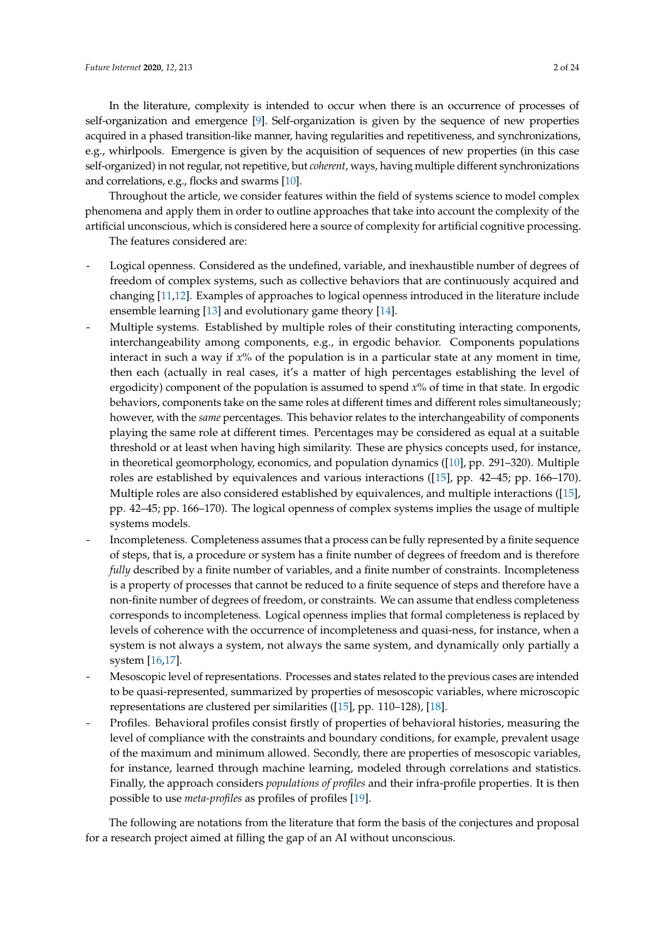In the literature, complexity is intended to occur when there is an occurrence of processes of self-organization and emergence [\[9\]](#page-19-6). Self-organization is given by the sequence of new properties acquired in a phased transition-like manner, having regularities and repetitiveness, and synchronizations, e.g., whirlpools. Emergence is given by the acquisition of sequences of new properties (in this case self-organized) in not regular, not repetitive, but *coherent*, ways, having multiple different synchronizations and correlations, e.g., flocks and swarms [\[10\]](#page-19-7).

Throughout the article, we consider features within the field of systems science to model complex phenomena and apply them in order to outline approaches that take into account the complexity of the artificial unconscious, which is considered here a source of complexity for artificial cognitive processing. The features considered are:

- Logical openness. Considered as the undefined, variable, and inexhaustible number of degrees of freedom of complex systems, such as collective behaviors that are continuously acquired and changing [\[11,](#page-19-8)[12\]](#page-19-9). Examples of approaches to logical openness introduced in the literature include ensemble learning [\[13\]](#page-19-10) and evolutionary game theory [\[14\]](#page-19-11).
- Multiple systems. Established by multiple roles of their constituting interacting components, interchangeability among components, e.g., in ergodic behavior. Components populations interact in such a way if *x*% of the population is in a particular state at any moment in time, then each (actually in real cases, it's a matter of high percentages establishing the level of ergodicity) component of the population is assumed to spend *x*% of time in that state. In ergodic behaviors, components take on the same roles at different times and different roles simultaneously; however, with the *same* percentages. This behavior relates to the interchangeability of components playing the same role at different times. Percentages may be considered as equal at a suitable threshold or at least when having high similarity. These are physics concepts used, for instance, in theoretical geomorphology, economics, and population dynamics ([\[10\]](#page-19-7), pp. 291–320). Multiple roles are established by equivalences and various interactions ([\[15\]](#page-19-12), pp. 42–45; pp. 166–170). Multiple roles are also considered established by equivalences, and multiple interactions ([\[15\]](#page-19-12), pp. 42–45; pp. 166–170). The logical openness of complex systems implies the usage of multiple systems models.
- Incompleteness. Completeness assumes that a process can be fully represented by a finite sequence of steps, that is, a procedure or system has a finite number of degrees of freedom and is therefore *fully* described by a finite number of variables, and a finite number of constraints. Incompleteness is a property of processes that cannot be reduced to a finite sequence of steps and therefore have a non-finite number of degrees of freedom, or constraints. We can assume that endless completeness corresponds to incompleteness. Logical openness implies that formal completeness is replaced by levels of coherence with the occurrence of incompleteness and quasi-ness, for instance, when a system is not always a system, not always the same system, and dynamically only partially a system [\[16,](#page-19-13)[17\]](#page-19-14).
- Mesoscopic level of representations. Processes and states related to the previous cases are intended to be quasi-represented, summarized by properties of mesoscopic variables, where microscopic representations are clustered per similarities ([\[15\]](#page-19-12), pp. 110–128), [\[18\]](#page-19-15).
- Profiles. Behavioral profiles consist firstly of properties of behavioral histories, measuring the level of compliance with the constraints and boundary conditions, for example, prevalent usage of the maximum and minimum allowed. Secondly, there are properties of mesoscopic variables, for instance, learned through machine learning, modeled through correlations and statistics. Finally, the approach considers *populations of profiles* and their infra-profile properties. It is then possible to use *meta-profiles* as profiles of profiles [\[19\]](#page-19-16).

The following are notations from the literature that form the basis of the conjectures and proposal for a research project aimed at filling the gap of an AI without unconscious.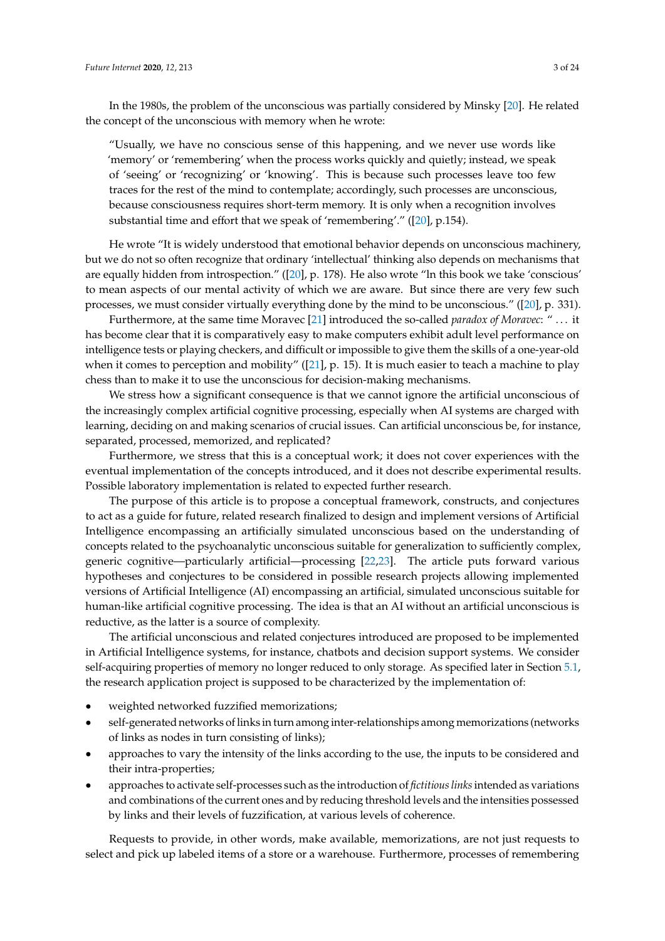In the 1980s, the problem of the unconscious was partially considered by Minsky [\[20\]](#page-19-17). He related the concept of the unconscious with memory when he wrote:

"Usually, we have no conscious sense of this happening, and we never use words like 'memory' or 'remembering' when the process works quickly and quietly; instead, we speak of 'seeing' or 'recognizing' or 'knowing'. This is because such processes leave too few traces for the rest of the mind to contemplate; accordingly, such processes are unconscious, because consciousness requires short-term memory. It is only when a recognition involves substantial time and effort that we speak of 'remembering'." ([\[20\]](#page-19-17), p.154).

He wrote "It is widely understood that emotional behavior depends on unconscious machinery, but we do not so often recognize that ordinary 'intellectual' thinking also depends on mechanisms that are equally hidden from introspection." ([\[20\]](#page-19-17), p. 178). He also wrote "ln this book we take 'conscious' to mean aspects of our mental activity of which we are aware. But since there are very few such processes, we must consider virtually everything done by the mind to be unconscious." ([\[20\]](#page-19-17), p. 331).

Furthermore, at the same time Moravec [\[21\]](#page-19-18) introduced the so-called *paradox of Moravec*: " . . . it has become clear that it is comparatively easy to make computers exhibit adult level performance on intelligence tests or playing checkers, and difficult or impossible to give them the skills of a one-year-old when it comes to perception and mobility" ([\[21\]](#page-19-18), p. 15). It is much easier to teach a machine to play chess than to make it to use the unconscious for decision-making mechanisms.

We stress how a significant consequence is that we cannot ignore the artificial unconscious of the increasingly complex artificial cognitive processing, especially when AI systems are charged with learning, deciding on and making scenarios of crucial issues. Can artificial unconscious be, for instance, separated, processed, memorized, and replicated?

Furthermore, we stress that this is a conceptual work; it does not cover experiences with the eventual implementation of the concepts introduced, and it does not describe experimental results. Possible laboratory implementation is related to expected further research.

The purpose of this article is to propose a conceptual framework, constructs, and conjectures to act as a guide for future, related research finalized to design and implement versions of Artificial Intelligence encompassing an artificially simulated unconscious based on the understanding of concepts related to the psychoanalytic unconscious suitable for generalization to sufficiently complex, generic cognitive—particularly artificial—processing [\[22](#page-19-19)[,23\]](#page-19-20). The article puts forward various hypotheses and conjectures to be considered in possible research projects allowing implemented versions of Artificial Intelligence (AI) encompassing an artificial, simulated unconscious suitable for human-like artificial cognitive processing. The idea is that an AI without an artificial unconscious is reductive, as the latter is a source of complexity.

The artificial unconscious and related conjectures introduced are proposed to be implemented in Artificial Intelligence systems, for instance, chatbots and decision support systems. We consider self-acquiring properties of memory no longer reduced to only storage. As specified later in Section [5.1,](#page-13-0) the research application project is supposed to be characterized by the implementation of:

- weighted networked fuzzified memorizations;
- self-generated networks of links in turn among inter-relationships among memorizations (networks of links as nodes in turn consisting of links);
- approaches to vary the intensity of the links according to the use, the inputs to be considered and their intra-properties;
- approaches to activate self-processes such as the introduction of *fictitious links*intended as variations and combinations of the current ones and by reducing threshold levels and the intensities possessed by links and their levels of fuzzification, at various levels of coherence.

Requests to provide, in other words, make available, memorizations, are not just requests to select and pick up labeled items of a store or a warehouse. Furthermore, processes of remembering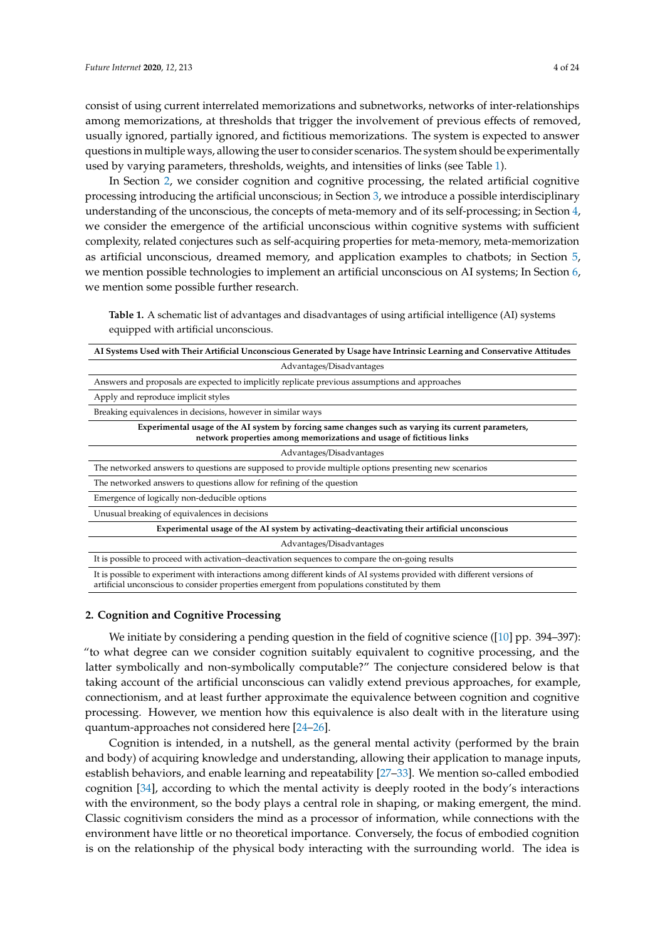consist of using current interrelated memorizations and subnetworks, networks of inter-relationships among memorizations, at thresholds that trigger the involvement of previous effects of removed, usually ignored, partially ignored, and fictitious memorizations. The system is expected to answer questions in multiple ways, allowing the user to consider scenarios. The system should be experimentally used by varying parameters, thresholds, weights, and intensities of links (see Table [1\)](#page-3-0).

In Section [2,](#page-3-1) we consider cognition and cognitive processing, the related artificial cognitive processing introducing the artificial unconscious; in Section [3,](#page-5-0) we introduce a possible interdisciplinary understanding of the unconscious, the concepts of meta-memory and of its self-processing; in Section [4,](#page-7-0) we consider the emergence of the artificial unconscious within cognitive systems with sufficient complexity, related conjectures such as self-acquiring properties for meta-memory, meta-memorization as artificial unconscious, dreamed memory, and application examples to chatbots; in Section [5,](#page-13-1) we mention possible technologies to implement an artificial unconscious on AI systems; In Section [6,](#page-17-0) we mention some possible further research.

<span id="page-3-0"></span>**Table 1.** A schematic list of advantages and disadvantages of using artificial intelligence (AI) systems equipped with artificial unconscious.

| AI Systems Used with Their Artificial Unconscious Generated by Usage have Intrinsic Learning and Conservative Attitudes                                                                                               |
|-----------------------------------------------------------------------------------------------------------------------------------------------------------------------------------------------------------------------|
| Advantages/Disadvantages                                                                                                                                                                                              |
| Answers and proposals are expected to implicitly replicate previous assumptions and approaches                                                                                                                        |
| Apply and reproduce implicit styles                                                                                                                                                                                   |
| Breaking equivalences in decisions, however in similar ways                                                                                                                                                           |
| Experimental usage of the AI system by forcing same changes such as varying its current parameters,<br>network properties among memorizations and usage of fictitious links                                           |
| Advantages/Disadvantages                                                                                                                                                                                              |
| The networked answers to questions are supposed to provide multiple options presenting new scenarios                                                                                                                  |
| The networked answers to questions allow for refining of the question                                                                                                                                                 |
| Emergence of logically non-deducible options                                                                                                                                                                          |
| Unusual breaking of equivalences in decisions                                                                                                                                                                         |
| Experimental usage of the AI system by activating-deactivating their artificial unconscious                                                                                                                           |
| Advantages/Disadvantages                                                                                                                                                                                              |
| It is possible to proceed with activation-deactivation sequences to compare the on-going results                                                                                                                      |
| It is possible to experiment with interactions among different kinds of AI systems provided with different versions of<br>artificial unconscious to consider properties emergent from populations constituted by them |

## <span id="page-3-1"></span>**2. Cognition and Cognitive Processing**

We initiate by considering a pending question in the field of cognitive science ([\[10\]](#page-19-7) pp. 394–397): "to what degree can we consider cognition suitably equivalent to cognitive processing, and the latter symbolically and non-symbolically computable?" The conjecture considered below is that taking account of the artificial unconscious can validly extend previous approaches, for example, connectionism, and at least further approximate the equivalence between cognition and cognitive processing. However, we mention how this equivalence is also dealt with in the literature using quantum-approaches not considered here [\[24](#page-19-21)[–26\]](#page-19-22).

Cognition is intended, in a nutshell, as the general mental activity (performed by the brain and body) of acquiring knowledge and understanding, allowing their application to manage inputs, establish behaviors, and enable learning and repeatability [\[27–](#page-20-0)[33\]](#page-20-1). We mention so-called embodied cognition [\[34\]](#page-20-2), according to which the mental activity is deeply rooted in the body's interactions with the environment, so the body plays a central role in shaping, or making emergent, the mind. Classic cognitivism considers the mind as a processor of information, while connections with the environment have little or no theoretical importance. Conversely, the focus of embodied cognition is on the relationship of the physical body interacting with the surrounding world. The idea is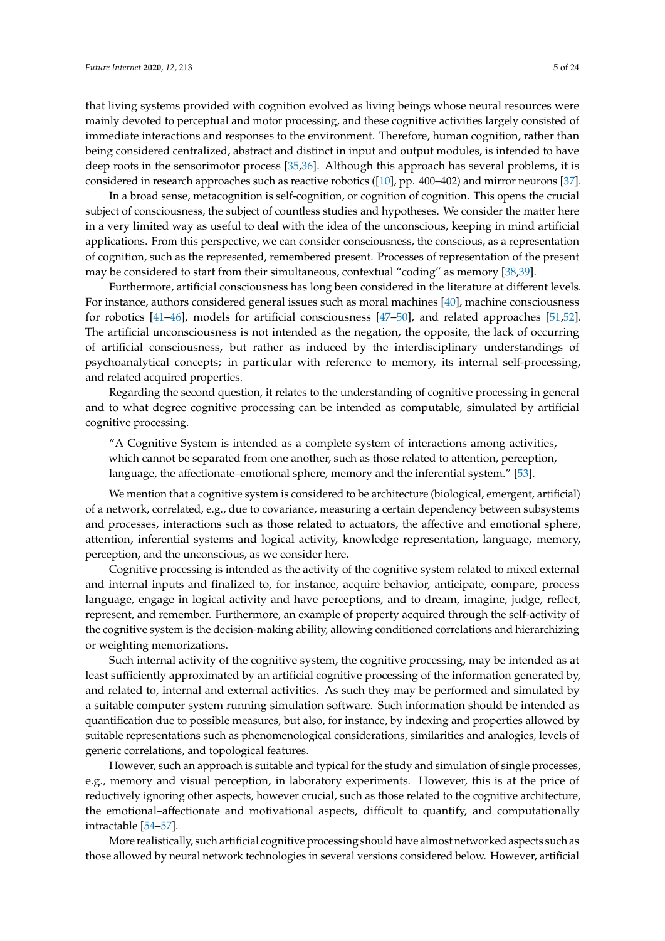that living systems provided with cognition evolved as living beings whose neural resources were mainly devoted to perceptual and motor processing, and these cognitive activities largely consisted of immediate interactions and responses to the environment. Therefore, human cognition, rather than being considered centralized, abstract and distinct in input and output modules, is intended to have deep roots in the sensorimotor process [\[35,](#page-20-3)[36\]](#page-20-4). Although this approach has several problems, it is considered in research approaches such as reactive robotics ([\[10\]](#page-19-7), pp. 400–402) and mirror neurons [\[37\]](#page-20-5).

In a broad sense, metacognition is self-cognition, or cognition of cognition. This opens the crucial subject of consciousness, the subject of countless studies and hypotheses. We consider the matter here in a very limited way as useful to deal with the idea of the unconscious, keeping in mind artificial applications. From this perspective, we can consider consciousness, the conscious, as a representation of cognition, such as the represented, remembered present. Processes of representation of the present may be considered to start from their simultaneous, contextual "coding" as memory [\[38,](#page-20-6)[39\]](#page-20-7).

Furthermore, artificial consciousness has long been considered in the literature at different levels. For instance, authors considered general issues such as moral machines [\[40\]](#page-20-8), machine consciousness for robotics [\[41](#page-20-9)[–46\]](#page-20-10), models for artificial consciousness [\[47](#page-20-11)[–50\]](#page-20-12), and related approaches [\[51,](#page-20-13)[52\]](#page-20-14). The artificial unconsciousness is not intended as the negation, the opposite, the lack of occurring of artificial consciousness, but rather as induced by the interdisciplinary understandings of psychoanalytical concepts; in particular with reference to memory, its internal self-processing, and related acquired properties.

Regarding the second question, it relates to the understanding of cognitive processing in general and to what degree cognitive processing can be intended as computable, simulated by artificial cognitive processing.

"A Cognitive System is intended as a complete system of interactions among activities, which cannot be separated from one another, such as those related to attention, perception, language, the affectionate–emotional sphere, memory and the inferential system." [\[53\]](#page-20-15).

We mention that a cognitive system is considered to be architecture (biological, emergent, artificial) of a network, correlated, e.g., due to covariance, measuring a certain dependency between subsystems and processes, interactions such as those related to actuators, the affective and emotional sphere, attention, inferential systems and logical activity, knowledge representation, language, memory, perception, and the unconscious, as we consider here.

Cognitive processing is intended as the activity of the cognitive system related to mixed external and internal inputs and finalized to, for instance, acquire behavior, anticipate, compare, process language, engage in logical activity and have perceptions, and to dream, imagine, judge, reflect, represent, and remember. Furthermore, an example of property acquired through the self-activity of the cognitive system is the decision-making ability, allowing conditioned correlations and hierarchizing or weighting memorizations.

Such internal activity of the cognitive system, the cognitive processing, may be intended as at least sufficiently approximated by an artificial cognitive processing of the information generated by, and related to, internal and external activities. As such they may be performed and simulated by a suitable computer system running simulation software. Such information should be intended as quantification due to possible measures, but also, for instance, by indexing and properties allowed by suitable representations such as phenomenological considerations, similarities and analogies, levels of generic correlations, and topological features.

However, such an approach is suitable and typical for the study and simulation of single processes, e.g., memory and visual perception, in laboratory experiments. However, this is at the price of reductively ignoring other aspects, however crucial, such as those related to the cognitive architecture, the emotional–affectionate and motivational aspects, difficult to quantify, and computationally intractable [\[54–](#page-20-16)[57\]](#page-21-0).

More realistically, such artificial cognitive processing should have almost networked aspects such as those allowed by neural network technologies in several versions considered below. However, artificial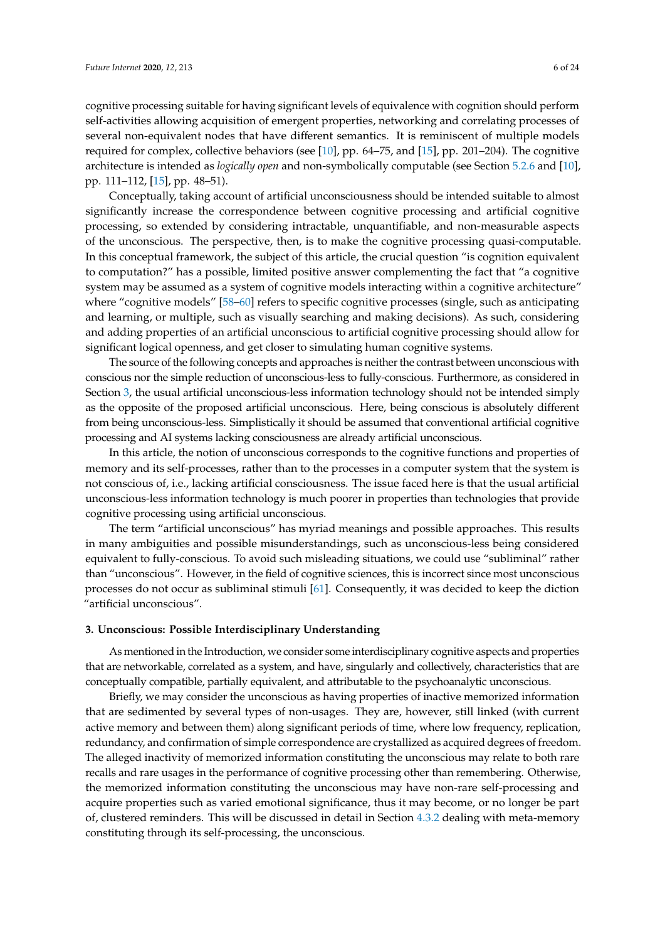cognitive processing suitable for having significant levels of equivalence with cognition should perform self-activities allowing acquisition of emergent properties, networking and correlating processes of several non-equivalent nodes that have different semantics. It is reminiscent of multiple models required for complex, collective behaviors (see [\[10\]](#page-19-7), pp. 64–75, and [\[15\]](#page-19-12), pp. 201–204). The cognitive architecture is intended as *logically open* and non-symbolically computable (see Section [5.2.6](#page-16-0) and [\[10\]](#page-19-7), pp. 111–112, [\[15\]](#page-19-12), pp. 48–51).

Conceptually, taking account of artificial unconsciousness should be intended suitable to almost significantly increase the correspondence between cognitive processing and artificial cognitive processing, so extended by considering intractable, unquantifiable, and non-measurable aspects of the unconscious. The perspective, then, is to make the cognitive processing quasi-computable. In this conceptual framework, the subject of this article, the crucial question "is cognition equivalent to computation?" has a possible, limited positive answer complementing the fact that "a cognitive system may be assumed as a system of cognitive models interacting within a cognitive architecture" where "cognitive models" [\[58–](#page-21-1)[60\]](#page-21-2) refers to specific cognitive processes (single, such as anticipating and learning, or multiple, such as visually searching and making decisions). As such, considering and adding properties of an artificial unconscious to artificial cognitive processing should allow for significant logical openness, and get closer to simulating human cognitive systems.

The source of the following concepts and approaches is neither the contrast between unconscious with conscious nor the simple reduction of unconscious-less to fully-conscious. Furthermore, as considered in Section [3,](#page-5-0) the usual artificial unconscious-less information technology should not be intended simply as the opposite of the proposed artificial unconscious. Here, being conscious is absolutely different from being unconscious-less. Simplistically it should be assumed that conventional artificial cognitive processing and AI systems lacking consciousness are already artificial unconscious.

In this article, the notion of unconscious corresponds to the cognitive functions and properties of memory and its self-processes, rather than to the processes in a computer system that the system is not conscious of, i.e., lacking artificial consciousness. The issue faced here is that the usual artificial unconscious-less information technology is much poorer in properties than technologies that provide cognitive processing using artificial unconscious.

The term "artificial unconscious" has myriad meanings and possible approaches. This results in many ambiguities and possible misunderstandings, such as unconscious-less being considered equivalent to fully-conscious. To avoid such misleading situations, we could use "subliminal" rather than "unconscious". However, in the field of cognitive sciences, this is incorrect since most unconscious processes do not occur as subliminal stimuli [\[61\]](#page-21-3). Consequently, it was decided to keep the diction "artificial unconscious".

## <span id="page-5-0"></span>**3. Unconscious: Possible Interdisciplinary Understanding**

As mentioned in the Introduction, we consider some interdisciplinary cognitive aspects and properties that are networkable, correlated as a system, and have, singularly and collectively, characteristics that are conceptually compatible, partially equivalent, and attributable to the psychoanalytic unconscious.

Briefly, we may consider the unconscious as having properties of inactive memorized information that are sedimented by several types of non-usages. They are, however, still linked (with current active memory and between them) along significant periods of time, where low frequency, replication, redundancy, and confirmation of simple correspondence are crystallized as acquired degrees of freedom. The alleged inactivity of memorized information constituting the unconscious may relate to both rare recalls and rare usages in the performance of cognitive processing other than remembering. Otherwise, the memorized information constituting the unconscious may have non-rare self-processing and acquire properties such as varied emotional significance, thus it may become, or no longer be part of, clustered reminders. This will be discussed in detail in Section [4.3.2](#page-9-0) dealing with meta-memory constituting through its self-processing, the unconscious.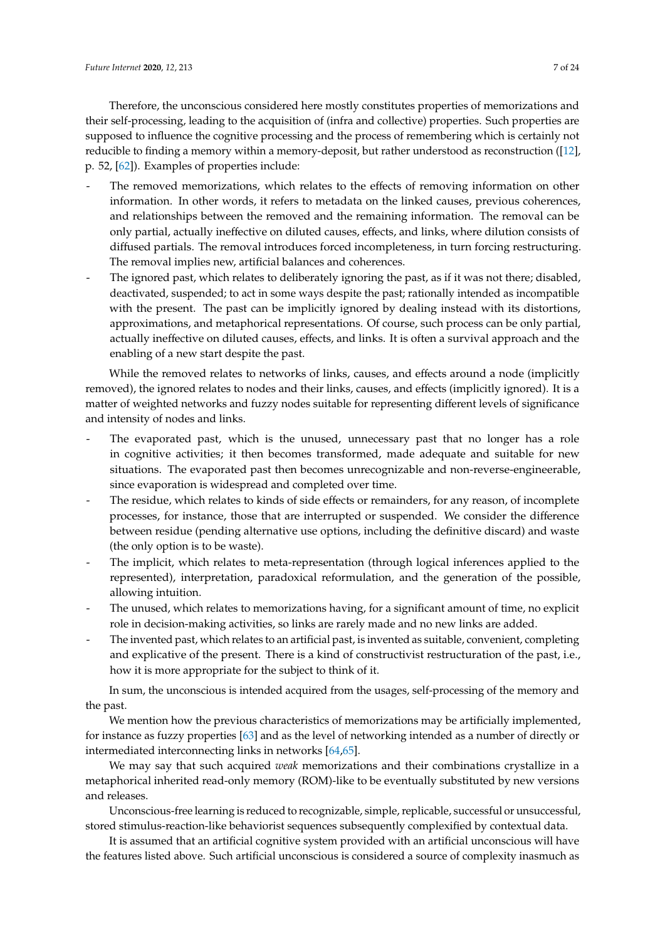Therefore, the unconscious considered here mostly constitutes properties of memorizations and their self-processing, leading to the acquisition of (infra and collective) properties. Such properties are supposed to influence the cognitive processing and the process of remembering which is certainly not reducible to finding a memory within a memory-deposit, but rather understood as reconstruction ([\[12\]](#page-19-9), p. 52, [\[62\]](#page-21-4)). Examples of properties include:

- The removed memorizations, which relates to the effects of removing information on other information. In other words, it refers to metadata on the linked causes, previous coherences, and relationships between the removed and the remaining information. The removal can be only partial, actually ineffective on diluted causes, effects, and links, where dilution consists of diffused partials. The removal introduces forced incompleteness, in turn forcing restructuring. The removal implies new, artificial balances and coherences.
- The ignored past, which relates to deliberately ignoring the past, as if it was not there; disabled, deactivated, suspended; to act in some ways despite the past; rationally intended as incompatible with the present. The past can be implicitly ignored by dealing instead with its distortions, approximations, and metaphorical representations. Of course, such process can be only partial, actually ineffective on diluted causes, effects, and links. It is often a survival approach and the enabling of a new start despite the past.

While the removed relates to networks of links, causes, and effects around a node (implicitly removed), the ignored relates to nodes and their links, causes, and effects (implicitly ignored). It is a matter of weighted networks and fuzzy nodes suitable for representing different levels of significance and intensity of nodes and links.

- The evaporated past, which is the unused, unnecessary past that no longer has a role in cognitive activities; it then becomes transformed, made adequate and suitable for new situations. The evaporated past then becomes unrecognizable and non-reverse-engineerable, since evaporation is widespread and completed over time.
- The residue, which relates to kinds of side effects or remainders, for any reason, of incomplete processes, for instance, those that are interrupted or suspended. We consider the difference between residue (pending alternative use options, including the definitive discard) and waste (the only option is to be waste).
- The implicit, which relates to meta-representation (through logical inferences applied to the represented), interpretation, paradoxical reformulation, and the generation of the possible, allowing intuition.
- The unused, which relates to memorizations having, for a significant amount of time, no explicit role in decision-making activities, so links are rarely made and no new links are added.
- The invented past, which relates to an artificial past, is invented as suitable, convenient, completing and explicative of the present. There is a kind of constructivist restructuration of the past, i.e., how it is more appropriate for the subject to think of it.

In sum, the unconscious is intended acquired from the usages, self-processing of the memory and the past.

We mention how the previous characteristics of memorizations may be artificially implemented, for instance as fuzzy properties [\[63\]](#page-21-5) and as the level of networking intended as a number of directly or intermediated interconnecting links in networks [\[64](#page-21-6)[,65\]](#page-21-7).

We may say that such acquired *weak* memorizations and their combinations crystallize in a metaphorical inherited read-only memory (ROM)-like to be eventually substituted by new versions and releases.

Unconscious-free learning is reduced to recognizable, simple, replicable, successful or unsuccessful, stored stimulus-reaction-like behaviorist sequences subsequently complexified by contextual data.

It is assumed that an artificial cognitive system provided with an artificial unconscious will have the features listed above. Such artificial unconscious is considered a source of complexity inasmuch as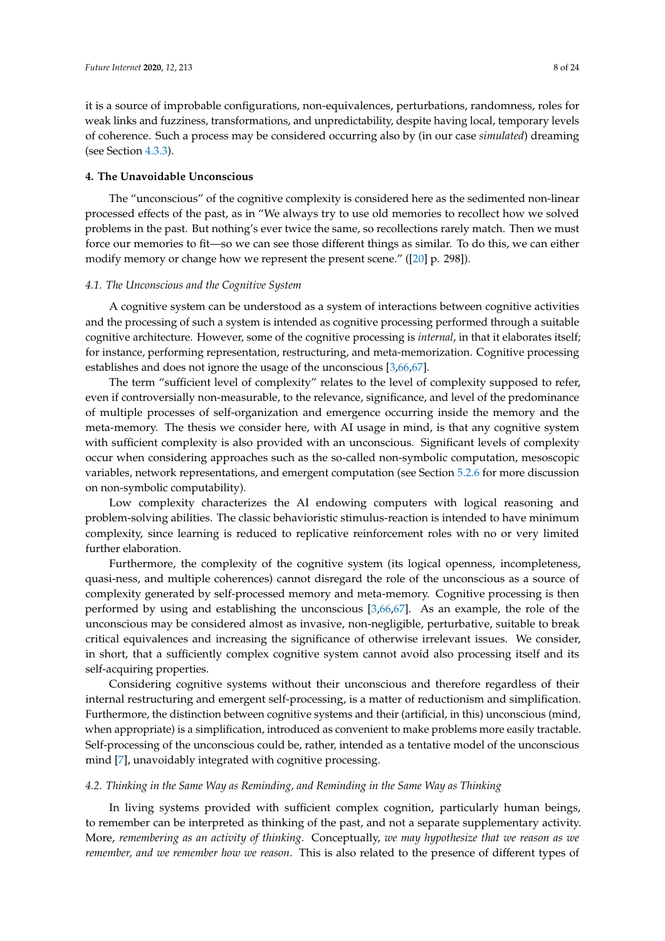it is a source of improbable configurations, non-equivalences, perturbations, randomness, roles for weak links and fuzziness, transformations, and unpredictability, despite having local, temporary levels of coherence. Such a process may be considered occurring also by (in our case *simulated*) dreaming (see Section [4.3.3\)](#page-10-0).

## <span id="page-7-0"></span>**4. The Unavoidable Unconscious**

The "unconscious" of the cognitive complexity is considered here as the sedimented non-linear processed effects of the past, as in "We always try to use old memories to recollect how we solved problems in the past. But nothing's ever twice the same, so recollections rarely match. Then we must force our memories to fit—so we can see those different things as similar. To do this, we can either modify memory or change how we represent the present scene." ([\[20\]](#page-19-17) p. 298]).

## *4.1. The Unconscious and the Cognitive System*

A cognitive system can be understood as a system of interactions between cognitive activities and the processing of such a system is intended as cognitive processing performed through a suitable cognitive architecture. However, some of the cognitive processing is *internal*, in that it elaborates itself; for instance, performing representation, restructuring, and meta-memorization. Cognitive processing establishes and does not ignore the usage of the unconscious [\[3](#page-19-1)[,66](#page-21-8)[,67\]](#page-21-9).

The term "sufficient level of complexity" relates to the level of complexity supposed to refer, even if controversially non-measurable, to the relevance, significance, and level of the predominance of multiple processes of self-organization and emergence occurring inside the memory and the meta-memory. The thesis we consider here, with AI usage in mind, is that any cognitive system with sufficient complexity is also provided with an unconscious. Significant levels of complexity occur when considering approaches such as the so-called non-symbolic computation, mesoscopic variables, network representations, and emergent computation (see Section [5.2.6](#page-16-0) for more discussion on non-symbolic computability).

Low complexity characterizes the AI endowing computers with logical reasoning and problem-solving abilities. The classic behavioristic stimulus-reaction is intended to have minimum complexity, since learning is reduced to replicative reinforcement roles with no or very limited further elaboration.

Furthermore, the complexity of the cognitive system (its logical openness, incompleteness, quasi-ness, and multiple coherences) cannot disregard the role of the unconscious as a source of complexity generated by self-processed memory and meta-memory. Cognitive processing is then performed by using and establishing the unconscious [\[3,](#page-19-1)[66,](#page-21-8)[67\]](#page-21-9). As an example, the role of the unconscious may be considered almost as invasive, non-negligible, perturbative, suitable to break critical equivalences and increasing the significance of otherwise irrelevant issues. We consider, in short, that a sufficiently complex cognitive system cannot avoid also processing itself and its self-acquiring properties.

Considering cognitive systems without their unconscious and therefore regardless of their internal restructuring and emergent self-processing, is a matter of reductionism and simplification. Furthermore, the distinction between cognitive systems and their (artificial, in this) unconscious (mind, when appropriate) is a simplification, introduced as convenient to make problems more easily tractable. Self-processing of the unconscious could be, rather, intended as a tentative model of the unconscious mind [\[7\]](#page-19-4), unavoidably integrated with cognitive processing.

#### *4.2. Thinking in the Same Way as Reminding, and Reminding in the Same Way as Thinking*

In living systems provided with sufficient complex cognition, particularly human beings, to remember can be interpreted as thinking of the past, and not a separate supplementary activity. More, *remembering as an activity of thinking*. Conceptually, *we may hypothesize that we reason as we remember, and we remember how we reason*. This is also related to the presence of different types of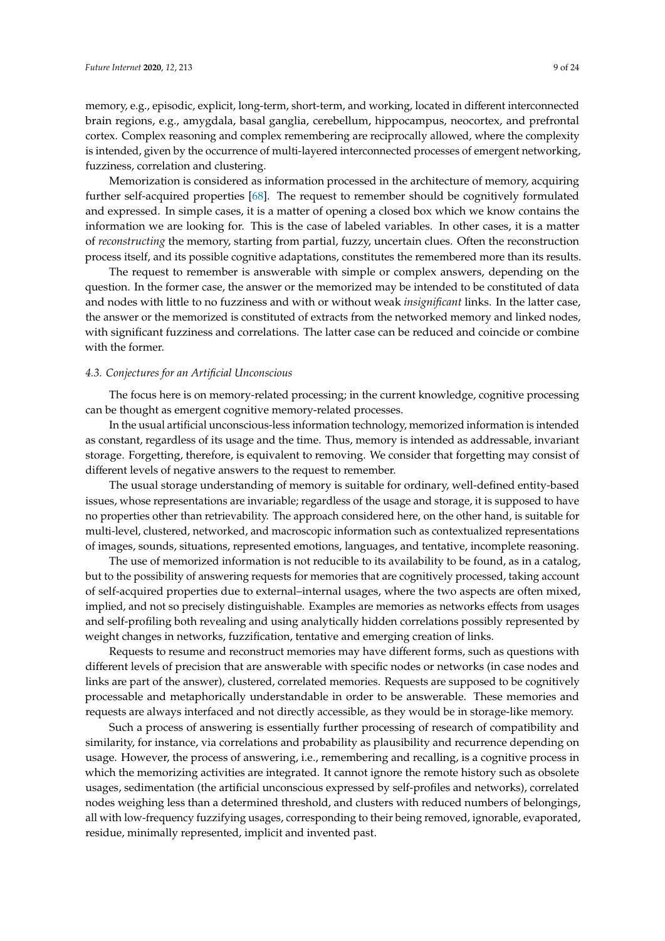memory, e.g., episodic, explicit, long-term, short-term, and working, located in different interconnected brain regions, e.g., amygdala, basal ganglia, cerebellum, hippocampus, neocortex, and prefrontal cortex. Complex reasoning and complex remembering are reciprocally allowed, where the complexity is intended, given by the occurrence of multi-layered interconnected processes of emergent networking, fuzziness, correlation and clustering.

Memorization is considered as information processed in the architecture of memory, acquiring further self-acquired properties [\[68\]](#page-21-10). The request to remember should be cognitively formulated and expressed. In simple cases, it is a matter of opening a closed box which we know contains the information we are looking for. This is the case of labeled variables. In other cases, it is a matter of *reconstructing* the memory, starting from partial, fuzzy, uncertain clues. Often the reconstruction process itself, and its possible cognitive adaptations, constitutes the remembered more than its results.

The request to remember is answerable with simple or complex answers, depending on the question. In the former case, the answer or the memorized may be intended to be constituted of data and nodes with little to no fuzziness and with or without weak *insignificant* links. In the latter case, the answer or the memorized is constituted of extracts from the networked memory and linked nodes, with significant fuzziness and correlations. The latter case can be reduced and coincide or combine with the former.

## *4.3. Conjectures for an Artificial Unconscious*

The focus here is on memory-related processing; in the current knowledge, cognitive processing can be thought as emergent cognitive memory-related processes.

In the usual artificial unconscious-less information technology, memorized information is intended as constant, regardless of its usage and the time. Thus, memory is intended as addressable, invariant storage. Forgetting, therefore, is equivalent to removing. We consider that forgetting may consist of different levels of negative answers to the request to remember.

The usual storage understanding of memory is suitable for ordinary, well-defined entity-based issues, whose representations are invariable; regardless of the usage and storage, it is supposed to have no properties other than retrievability. The approach considered here, on the other hand, is suitable for multi-level, clustered, networked, and macroscopic information such as contextualized representations of images, sounds, situations, represented emotions, languages, and tentative, incomplete reasoning.

The use of memorized information is not reducible to its availability to be found, as in a catalog, but to the possibility of answering requests for memories that are cognitively processed, taking account of self-acquired properties due to external–internal usages, where the two aspects are often mixed, implied, and not so precisely distinguishable. Examples are memories as networks effects from usages and self-profiling both revealing and using analytically hidden correlations possibly represented by weight changes in networks, fuzzification, tentative and emerging creation of links.

Requests to resume and reconstruct memories may have different forms, such as questions with different levels of precision that are answerable with specific nodes or networks (in case nodes and links are part of the answer), clustered, correlated memories. Requests are supposed to be cognitively processable and metaphorically understandable in order to be answerable. These memories and requests are always interfaced and not directly accessible, as they would be in storage-like memory.

Such a process of answering is essentially further processing of research of compatibility and similarity, for instance, via correlations and probability as plausibility and recurrence depending on usage. However, the process of answering, i.e., remembering and recalling, is a cognitive process in which the memorizing activities are integrated. It cannot ignore the remote history such as obsolete usages, sedimentation (the artificial unconscious expressed by self-profiles and networks), correlated nodes weighing less than a determined threshold, and clusters with reduced numbers of belongings, all with low-frequency fuzzifying usages, corresponding to their being removed, ignorable, evaporated, residue, minimally represented, implicit and invented past.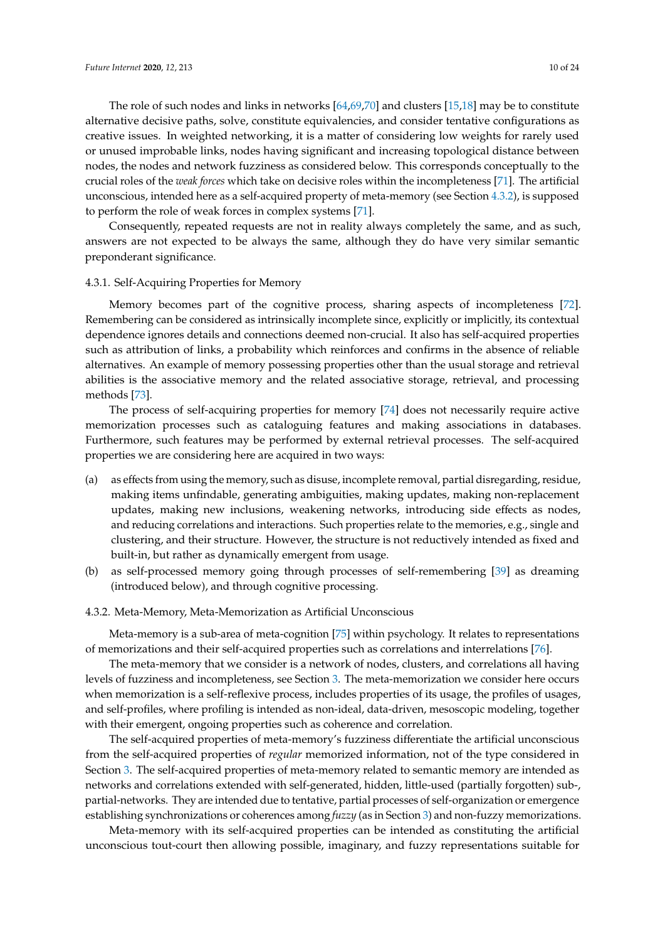The role of such nodes and links in networks [\[64](#page-21-6)[,69](#page-21-11)[,70\]](#page-21-12) and clusters [\[15,](#page-19-12)[18\]](#page-19-15) may be to constitute alternative decisive paths, solve, constitute equivalencies, and consider tentative configurations as creative issues. In weighted networking, it is a matter of considering low weights for rarely used or unused improbable links, nodes having significant and increasing topological distance between nodes, the nodes and network fuzziness as considered below. This corresponds conceptually to the crucial roles of the *weak forces* which take on decisive roles within the incompleteness [\[71\]](#page-21-13). The artificial unconscious, intended here as a self-acquired property of meta-memory (see Section [4.3.2\)](#page-9-0), is supposed to perform the role of weak forces in complex systems [\[71\]](#page-21-13).

Consequently, repeated requests are not in reality always completely the same, and as such, answers are not expected to be always the same, although they do have very similar semantic preponderant significance.

#### 4.3.1. Self-Acquiring Properties for Memory

Memory becomes part of the cognitive process, sharing aspects of incompleteness [\[72\]](#page-21-14). Remembering can be considered as intrinsically incomplete since, explicitly or implicitly, its contextual dependence ignores details and connections deemed non-crucial. It also has self-acquired properties such as attribution of links, a probability which reinforces and confirms in the absence of reliable alternatives. An example of memory possessing properties other than the usual storage and retrieval abilities is the associative memory and the related associative storage, retrieval, and processing methods [\[73\]](#page-21-15).

The process of self-acquiring properties for memory [\[74\]](#page-21-16) does not necessarily require active memorization processes such as cataloguing features and making associations in databases. Furthermore, such features may be performed by external retrieval processes. The self-acquired properties we are considering here are acquired in two ways:

- (a) as effects from using the memory, such as disuse, incomplete removal, partial disregarding, residue, making items unfindable, generating ambiguities, making updates, making non-replacement updates, making new inclusions, weakening networks, introducing side effects as nodes, and reducing correlations and interactions. Such properties relate to the memories, e.g., single and clustering, and their structure. However, the structure is not reductively intended as fixed and built-in, but rather as dynamically emergent from usage.
- (b) as self-processed memory going through processes of self-remembering [\[39\]](#page-20-7) as dreaming (introduced below), and through cognitive processing.

#### <span id="page-9-0"></span>4.3.2. Meta-Memory, Meta-Memorization as Artificial Unconscious

Meta-memory is a sub-area of meta-cognition [\[75\]](#page-21-17) within psychology. It relates to representations of memorizations and their self-acquired properties such as correlations and interrelations [\[76\]](#page-21-18).

The meta-memory that we consider is a network of nodes, clusters, and correlations all having levels of fuzziness and incompleteness, see Section [3.](#page-5-0) The meta-memorization we consider here occurs when memorization is a self-reflexive process, includes properties of its usage, the profiles of usages, and self-profiles, where profiling is intended as non-ideal, data-driven, mesoscopic modeling, together with their emergent, ongoing properties such as coherence and correlation.

The self-acquired properties of meta-memory's fuzziness differentiate the artificial unconscious from the self-acquired properties of *regular* memorized information, not of the type considered in Section [3.](#page-5-0) The self-acquired properties of meta-memory related to semantic memory are intended as networks and correlations extended with self-generated, hidden, little-used (partially forgotten) sub-, partial-networks. They are intended due to tentative, partial processes of self-organization or emergence establishing synchronizations or coherences among *fuzzy* (as in Section [3\)](#page-5-0) and non-fuzzy memorizations.

Meta-memory with its self-acquired properties can be intended as constituting the artificial unconscious tout-court then allowing possible, imaginary, and fuzzy representations suitable for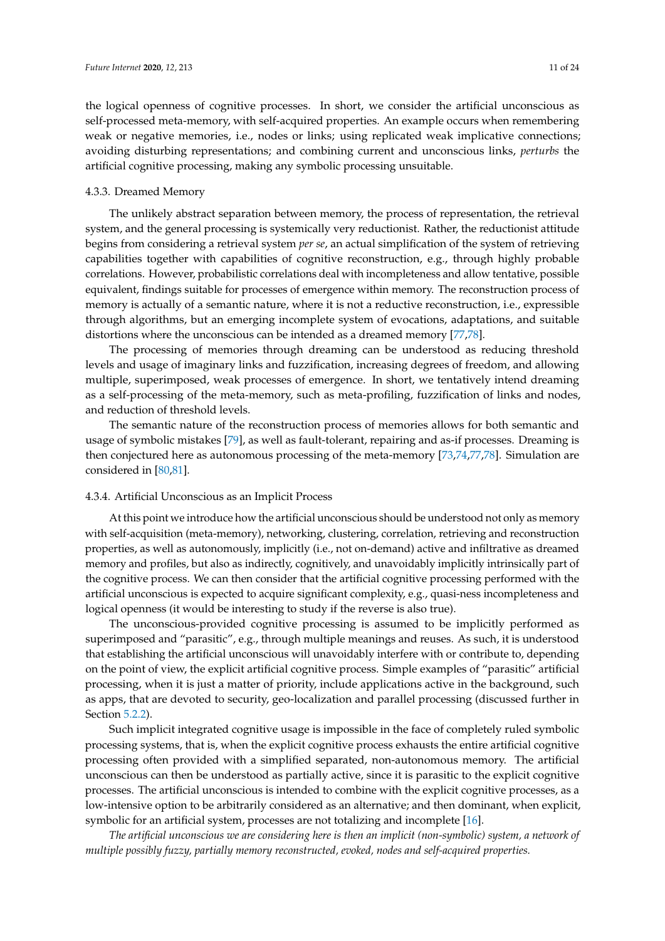the logical openness of cognitive processes. In short, we consider the artificial unconscious as self-processed meta-memory, with self-acquired properties. An example occurs when remembering weak or negative memories, i.e., nodes or links; using replicated weak implicative connections; avoiding disturbing representations; and combining current and unconscious links, *perturbs* the artificial cognitive processing, making any symbolic processing unsuitable.

#### <span id="page-10-0"></span>4.3.3. Dreamed Memory

The unlikely abstract separation between memory, the process of representation, the retrieval system, and the general processing is systemically very reductionist. Rather, the reductionist attitude begins from considering a retrieval system *per se*, an actual simplification of the system of retrieving capabilities together with capabilities of cognitive reconstruction, e.g., through highly probable correlations. However, probabilistic correlations deal with incompleteness and allow tentative, possible equivalent, findings suitable for processes of emergence within memory. The reconstruction process of memory is actually of a semantic nature, where it is not a reductive reconstruction, i.e., expressible through algorithms, but an emerging incomplete system of evocations, adaptations, and suitable distortions where the unconscious can be intended as a dreamed memory [\[77,](#page-21-19)[78\]](#page-21-20).

The processing of memories through dreaming can be understood as reducing threshold levels and usage of imaginary links and fuzzification, increasing degrees of freedom, and allowing multiple, superimposed, weak processes of emergence. In short, we tentatively intend dreaming as a self-processing of the meta-memory, such as meta-profiling, fuzzification of links and nodes, and reduction of threshold levels.

The semantic nature of the reconstruction process of memories allows for both semantic and usage of symbolic mistakes [\[79\]](#page-21-21), as well as fault-tolerant, repairing and as-if processes. Dreaming is then conjectured here as autonomous processing of the meta-memory [\[73](#page-21-15)[,74](#page-21-16)[,77](#page-21-19)[,78\]](#page-21-20). Simulation are considered in [\[80,](#page-21-22)[81\]](#page-21-23).

## 4.3.4. Artificial Unconscious as an Implicit Process

At this point we introduce how the artificial unconscious should be understood not only as memory with self-acquisition (meta-memory), networking, clustering, correlation, retrieving and reconstruction properties, as well as autonomously, implicitly (i.e., not on-demand) active and infiltrative as dreamed memory and profiles, but also as indirectly, cognitively, and unavoidably implicitly intrinsically part of the cognitive process. We can then consider that the artificial cognitive processing performed with the artificial unconscious is expected to acquire significant complexity, e.g., quasi-ness incompleteness and logical openness (it would be interesting to study if the reverse is also true).

The unconscious-provided cognitive processing is assumed to be implicitly performed as superimposed and "parasitic", e.g., through multiple meanings and reuses. As such, it is understood that establishing the artificial unconscious will unavoidably interfere with or contribute to, depending on the point of view, the explicit artificial cognitive process. Simple examples of "parasitic" artificial processing, when it is just a matter of priority, include applications active in the background, such as apps, that are devoted to security, geo-localization and parallel processing (discussed further in Section [5.2.2\)](#page-15-0).

Such implicit integrated cognitive usage is impossible in the face of completely ruled symbolic processing systems, that is, when the explicit cognitive process exhausts the entire artificial cognitive processing often provided with a simplified separated, non-autonomous memory. The artificial unconscious can then be understood as partially active, since it is parasitic to the explicit cognitive processes. The artificial unconscious is intended to combine with the explicit cognitive processes, as a low-intensive option to be arbitrarily considered as an alternative; and then dominant, when explicit, symbolic for an artificial system, processes are not totalizing and incomplete [\[16\]](#page-19-13).

*The artificial unconscious we are considering here is then an implicit (non-symbolic) system, a network of multiple possibly fuzzy, partially memory reconstructed, evoked, nodes and self-acquired properties.*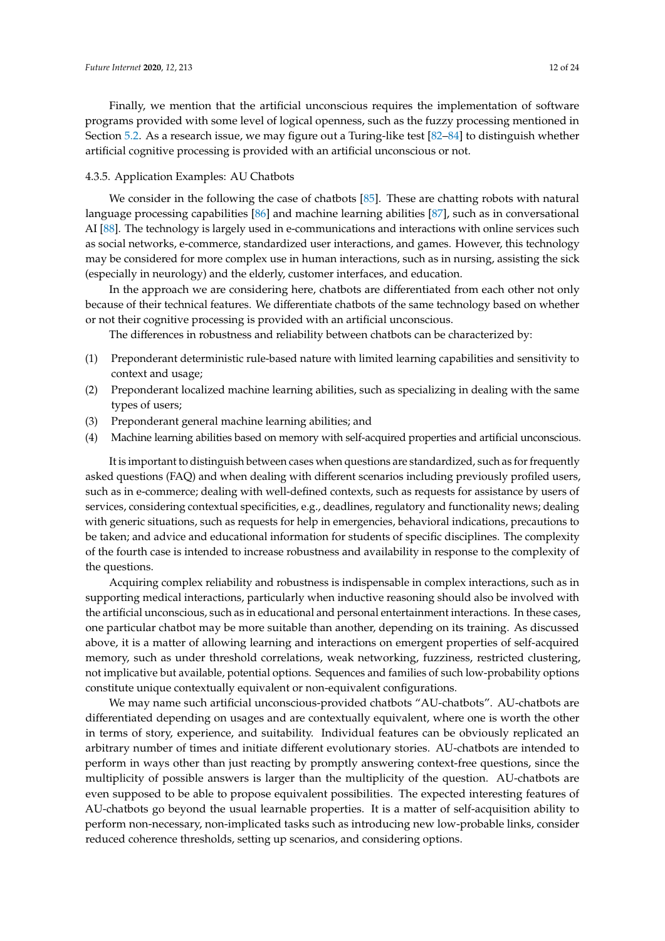Finally, we mention that the artificial unconscious requires the implementation of software programs provided with some level of logical openness, such as the fuzzy processing mentioned in Section [5.2.](#page-15-1) As a research issue, we may figure out a Turing-like test [\[82](#page-21-24)[–84\]](#page-22-0) to distinguish whether artificial cognitive processing is provided with an artificial unconscious or not.

## <span id="page-11-0"></span>4.3.5. Application Examples: AU Chatbots

We consider in the following the case of chatbots [\[85\]](#page-22-1). These are chatting robots with natural language processing capabilities [\[86\]](#page-22-2) and machine learning abilities [\[87\]](#page-22-3), such as in conversational AI [\[88\]](#page-22-4). The technology is largely used in e-communications and interactions with online services such as social networks, e-commerce, standardized user interactions, and games. However, this technology may be considered for more complex use in human interactions, such as in nursing, assisting the sick (especially in neurology) and the elderly, customer interfaces, and education.

In the approach we are considering here, chatbots are differentiated from each other not only because of their technical features. We differentiate chatbots of the same technology based on whether or not their cognitive processing is provided with an artificial unconscious.

The differences in robustness and reliability between chatbots can be characterized by:

- (1) Preponderant deterministic rule-based nature with limited learning capabilities and sensitivity to context and usage;
- (2) Preponderant localized machine learning abilities, such as specializing in dealing with the same types of users;
- (3) Preponderant general machine learning abilities; and
- (4) Machine learning abilities based on memory with self-acquired properties and artificial unconscious.

It is important to distinguish between cases when questions are standardized, such as for frequently asked questions (FAQ) and when dealing with different scenarios including previously profiled users, such as in e-commerce; dealing with well-defined contexts, such as requests for assistance by users of services, considering contextual specificities, e.g., deadlines, regulatory and functionality news; dealing with generic situations, such as requests for help in emergencies, behavioral indications, precautions to be taken; and advice and educational information for students of specific disciplines. The complexity of the fourth case is intended to increase robustness and availability in response to the complexity of the questions.

Acquiring complex reliability and robustness is indispensable in complex interactions, such as in supporting medical interactions, particularly when inductive reasoning should also be involved with the artificial unconscious, such as in educational and personal entertainment interactions. In these cases, one particular chatbot may be more suitable than another, depending on its training. As discussed above, it is a matter of allowing learning and interactions on emergent properties of self-acquired memory, such as under threshold correlations, weak networking, fuzziness, restricted clustering, not implicative but available, potential options. Sequences and families of such low-probability options constitute unique contextually equivalent or non-equivalent configurations.

We may name such artificial unconscious-provided chatbots "AU-chatbots". AU-chatbots are differentiated depending on usages and are contextually equivalent, where one is worth the other in terms of story, experience, and suitability. Individual features can be obviously replicated an arbitrary number of times and initiate different evolutionary stories. AU-chatbots are intended to perform in ways other than just reacting by promptly answering context-free questions, since the multiplicity of possible answers is larger than the multiplicity of the question. AU-chatbots are even supposed to be able to propose equivalent possibilities. The expected interesting features of AU-chatbots go beyond the usual learnable properties. It is a matter of self-acquisition ability to perform non-necessary, non-implicated tasks such as introducing new low-probable links, consider reduced coherence thresholds, setting up scenarios, and considering options.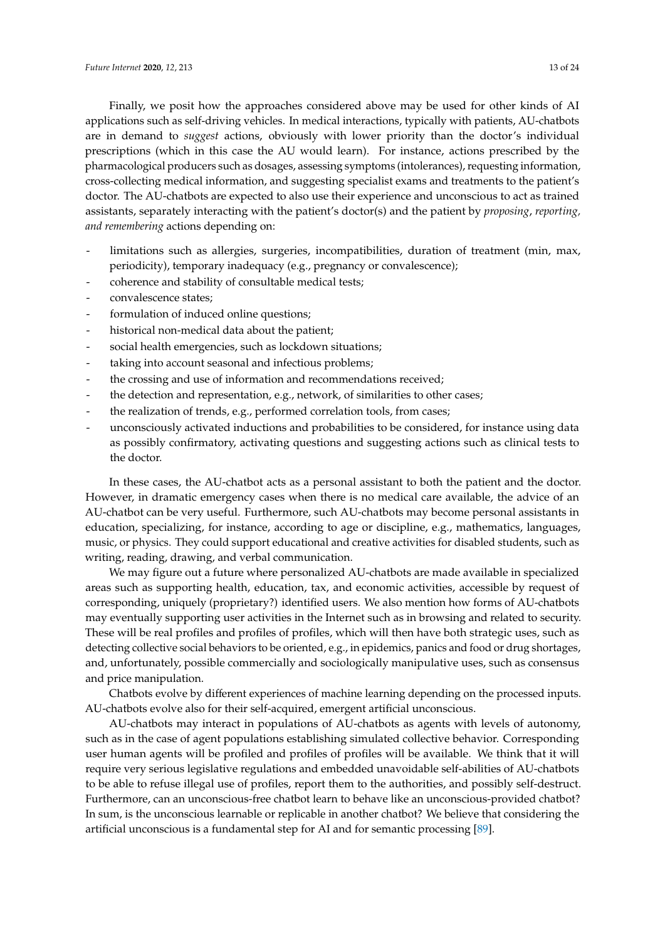Finally, we posit how the approaches considered above may be used for other kinds of AI applications such as self-driving vehicles. In medical interactions, typically with patients, AU-chatbots are in demand to *suggest* actions, obviously with lower priority than the doctor's individual prescriptions (which in this case the AU would learn). For instance, actions prescribed by the pharmacological producers such as dosages, assessing symptoms (intolerances), requesting information, cross-collecting medical information, and suggesting specialist exams and treatments to the patient's doctor. The AU-chatbots are expected to also use their experience and unconscious to act as trained assistants, separately interacting with the patient's doctor(s) and the patient by *proposing*, *reporting, and remembering* actions depending on:

- limitations such as allergies, surgeries, incompatibilities, duration of treatment (min, max, periodicity), temporary inadequacy (e.g., pregnancy or convalescence);
- coherence and stability of consultable medical tests;
- convalescence states;
- formulation of induced online questions;
- historical non-medical data about the patient;
- social health emergencies, such as lockdown situations;
- taking into account seasonal and infectious problems;
- the crossing and use of information and recommendations received;
- the detection and representation, e.g., network, of similarities to other cases;
- the realization of trends, e.g., performed correlation tools, from cases;
- unconsciously activated inductions and probabilities to be considered, for instance using data as possibly confirmatory, activating questions and suggesting actions such as clinical tests to the doctor.

In these cases, the AU-chatbot acts as a personal assistant to both the patient and the doctor. However, in dramatic emergency cases when there is no medical care available, the advice of an AU-chatbot can be very useful. Furthermore, such AU-chatbots may become personal assistants in education, specializing, for instance, according to age or discipline, e.g., mathematics, languages, music, or physics. They could support educational and creative activities for disabled students, such as writing, reading, drawing, and verbal communication.

We may figure out a future where personalized AU-chatbots are made available in specialized areas such as supporting health, education, tax, and economic activities, accessible by request of corresponding, uniquely (proprietary?) identified users. We also mention how forms of AU-chatbots may eventually supporting user activities in the Internet such as in browsing and related to security. These will be real profiles and profiles of profiles, which will then have both strategic uses, such as detecting collective social behaviors to be oriented, e.g., in epidemics, panics and food or drug shortages, and, unfortunately, possible commercially and sociologically manipulative uses, such as consensus and price manipulation.

Chatbots evolve by different experiences of machine learning depending on the processed inputs. AU-chatbots evolve also for their self-acquired, emergent artificial unconscious.

AU-chatbots may interact in populations of AU-chatbots as agents with levels of autonomy, such as in the case of agent populations establishing simulated collective behavior. Corresponding user human agents will be profiled and profiles of profiles will be available. We think that it will require very serious legislative regulations and embedded unavoidable self-abilities of AU-chatbots to be able to refuse illegal use of profiles, report them to the authorities, and possibly self-destruct. Furthermore, can an unconscious-free chatbot learn to behave like an unconscious-provided chatbot? In sum, is the unconscious learnable or replicable in another chatbot? We believe that considering the artificial unconscious is a fundamental step for AI and for semantic processing [\[89\]](#page-22-5).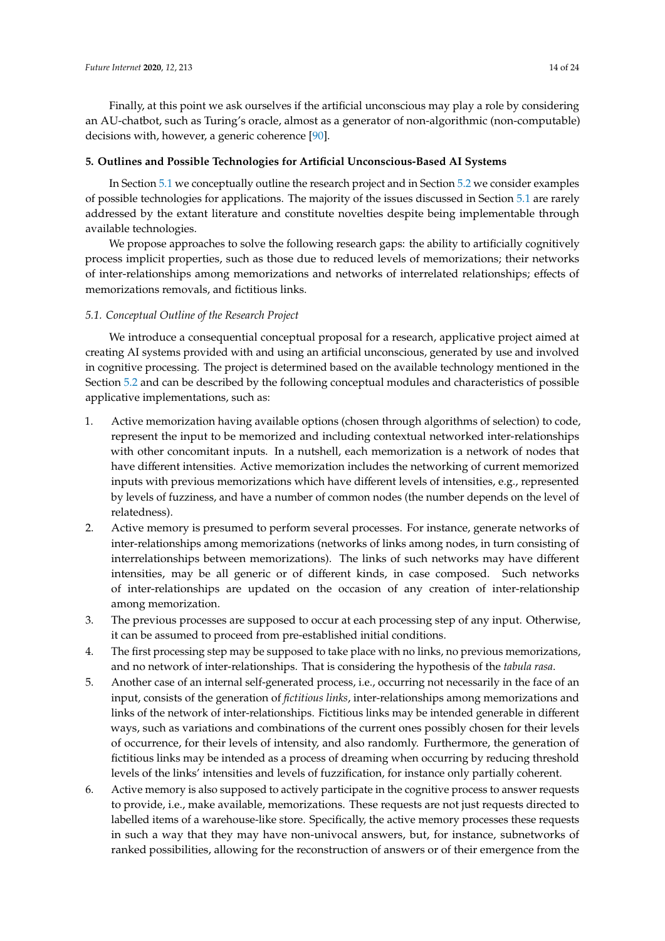Finally, at this point we ask ourselves if the artificial unconscious may play a role by considering an AU-chatbot, such as Turing's oracle, almost as a generator of non-algorithmic (non-computable) decisions with, however, a generic coherence [\[90\]](#page-22-6).

## <span id="page-13-1"></span>**5. Outlines and Possible Technologies for Artificial Unconscious-Based AI Systems**

In Section [5.1](#page-13-0) we conceptually outline the research project and in Section [5.2](#page-15-1) we consider examples of possible technologies for applications. The majority of the issues discussed in Section [5.1](#page-13-0) are rarely addressed by the extant literature and constitute novelties despite being implementable through available technologies.

We propose approaches to solve the following research gaps: the ability to artificially cognitively process implicit properties, such as those due to reduced levels of memorizations; their networks of inter-relationships among memorizations and networks of interrelated relationships; effects of memorizations removals, and fictitious links.

## <span id="page-13-0"></span>*5.1. Conceptual Outline of the Research Project*

We introduce a consequential conceptual proposal for a research, applicative project aimed at creating AI systems provided with and using an artificial unconscious, generated by use and involved in cognitive processing. The project is determined based on the available technology mentioned in the Section [5.2](#page-15-1) and can be described by the following conceptual modules and characteristics of possible applicative implementations, such as:

- 1. Active memorization having available options (chosen through algorithms of selection) to code, represent the input to be memorized and including contextual networked inter-relationships with other concomitant inputs. In a nutshell, each memorization is a network of nodes that have different intensities. Active memorization includes the networking of current memorized inputs with previous memorizations which have different levels of intensities, e.g., represented by levels of fuzziness, and have a number of common nodes (the number depends on the level of relatedness).
- 2. Active memory is presumed to perform several processes. For instance, generate networks of inter-relationships among memorizations (networks of links among nodes, in turn consisting of interrelationships between memorizations). The links of such networks may have different intensities, may be all generic or of different kinds, in case composed. Such networks of inter-relationships are updated on the occasion of any creation of inter-relationship among memorization.
- 3. The previous processes are supposed to occur at each processing step of any input. Otherwise, it can be assumed to proceed from pre-established initial conditions.
- 4. The first processing step may be supposed to take place with no links, no previous memorizations, and no network of inter-relationships. That is considering the hypothesis of the *tabula rasa*.
- 5. Another case of an internal self-generated process, i.e., occurring not necessarily in the face of an input, consists of the generation of *fictitious links*, inter-relationships among memorizations and links of the network of inter-relationships. Fictitious links may be intended generable in different ways, such as variations and combinations of the current ones possibly chosen for their levels of occurrence, for their levels of intensity, and also randomly. Furthermore, the generation of fictitious links may be intended as a process of dreaming when occurring by reducing threshold levels of the links' intensities and levels of fuzzification, for instance only partially coherent.
- 6. Active memory is also supposed to actively participate in the cognitive process to answer requests to provide, i.e., make available, memorizations. These requests are not just requests directed to labelled items of a warehouse-like store. Specifically, the active memory processes these requests in such a way that they may have non-univocal answers, but, for instance, subnetworks of ranked possibilities, allowing for the reconstruction of answers or of their emergence from the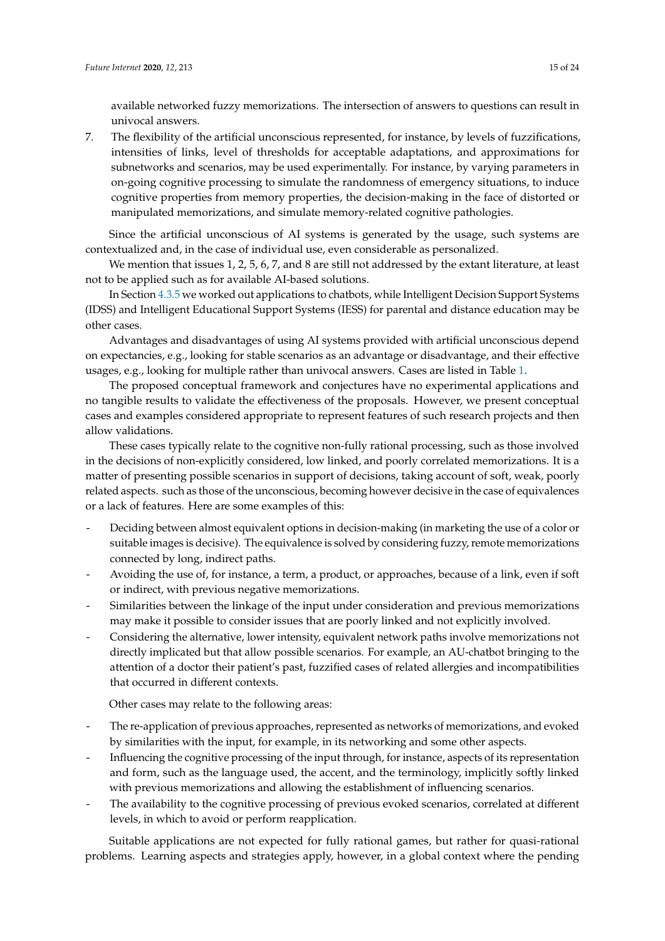available networked fuzzy memorizations. The intersection of answers to questions can result in univocal answers.

7. The flexibility of the artificial unconscious represented, for instance, by levels of fuzzifications, intensities of links, level of thresholds for acceptable adaptations, and approximations for subnetworks and scenarios, may be used experimentally. For instance, by varying parameters in on-going cognitive processing to simulate the randomness of emergency situations, to induce cognitive properties from memory properties, the decision-making in the face of distorted or manipulated memorizations, and simulate memory-related cognitive pathologies.

Since the artificial unconscious of AI systems is generated by the usage, such systems are contextualized and, in the case of individual use, even considerable as personalized.

We mention that issues 1, 2, 5, 6, 7, and 8 are still not addressed by the extant literature, at least not to be applied such as for available AI-based solutions.

In Section [4.3.5](#page-11-0) we worked out applications to chatbots, while Intelligent Decision Support Systems (IDSS) and Intelligent Educational Support Systems (IESS) for parental and distance education may be other cases.

Advantages and disadvantages of using AI systems provided with artificial unconscious depend on expectancies, e.g., looking for stable scenarios as an advantage or disadvantage, and their effective usages, e.g., looking for multiple rather than univocal answers. Cases are listed in Table [1.](#page-3-0)

The proposed conceptual framework and conjectures have no experimental applications and no tangible results to validate the effectiveness of the proposals. However, we present conceptual cases and examples considered appropriate to represent features of such research projects and then allow validations.

These cases typically relate to the cognitive non-fully rational processing, such as those involved in the decisions of non-explicitly considered, low linked, and poorly correlated memorizations. It is a matter of presenting possible scenarios in support of decisions, taking account of soft, weak, poorly related aspects. such as those of the unconscious, becoming however decisive in the case of equivalences or a lack of features. Here are some examples of this:

- Deciding between almost equivalent options in decision-making (in marketing the use of a color or suitable images is decisive). The equivalence is solved by considering fuzzy, remote memorizations connected by long, indirect paths.
- Avoiding the use of, for instance, a term, a product, or approaches, because of a link, even if soft or indirect, with previous negative memorizations.
- Similarities between the linkage of the input under consideration and previous memorizations may make it possible to consider issues that are poorly linked and not explicitly involved.
- Considering the alternative, lower intensity, equivalent network paths involve memorizations not directly implicated but that allow possible scenarios. For example, an AU-chatbot bringing to the attention of a doctor their patient's past, fuzzified cases of related allergies and incompatibilities that occurred in different contexts.

Other cases may relate to the following areas:

- The re-application of previous approaches, represented as networks of memorizations, and evoked by similarities with the input, for example, in its networking and some other aspects.
- Influencing the cognitive processing of the input through, for instance, aspects of its representation and form, such as the language used, the accent, and the terminology, implicitly softly linked with previous memorizations and allowing the establishment of influencing scenarios.
- The availability to the cognitive processing of previous evoked scenarios, correlated at different levels, in which to avoid or perform reapplication.

Suitable applications are not expected for fully rational games, but rather for quasi-rational problems. Learning aspects and strategies apply, however, in a global context where the pending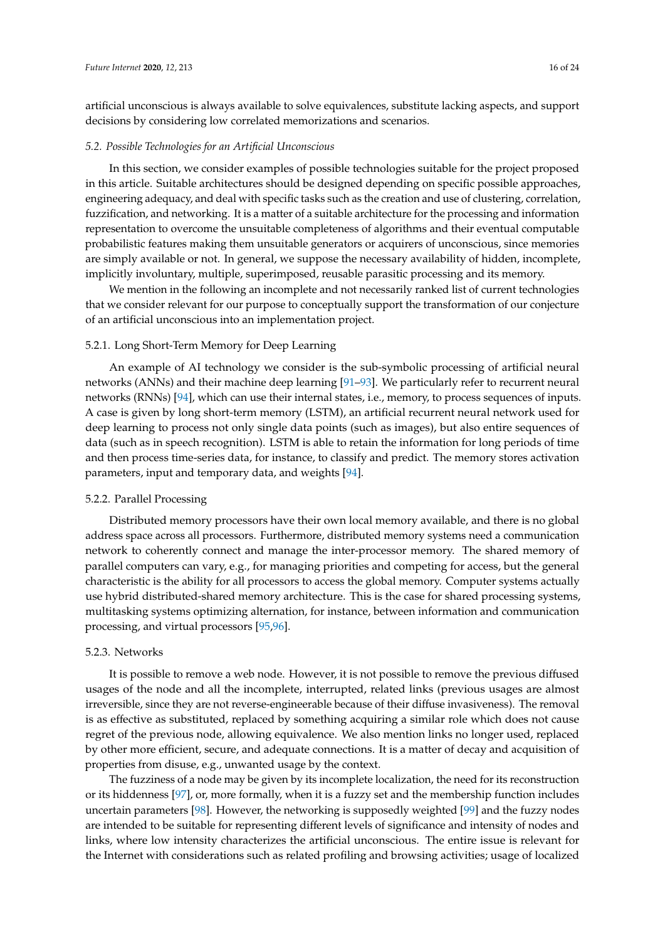artificial unconscious is always available to solve equivalences, substitute lacking aspects, and support decisions by considering low correlated memorizations and scenarios.

## <span id="page-15-1"></span>*5.2. Possible Technologies for an Artificial Unconscious*

In this section, we consider examples of possible technologies suitable for the project proposed in this article. Suitable architectures should be designed depending on specific possible approaches, engineering adequacy, and deal with specific tasks such as the creation and use of clustering, correlation, fuzzification, and networking. It is a matter of a suitable architecture for the processing and information representation to overcome the unsuitable completeness of algorithms and their eventual computable probabilistic features making them unsuitable generators or acquirers of unconscious, since memories are simply available or not. In general, we suppose the necessary availability of hidden, incomplete, implicitly involuntary, multiple, superimposed, reusable parasitic processing and its memory.

We mention in the following an incomplete and not necessarily ranked list of current technologies that we consider relevant for our purpose to conceptually support the transformation of our conjecture of an artificial unconscious into an implementation project.

#### 5.2.1. Long Short-Term Memory for Deep Learning

An example of AI technology we consider is the sub-symbolic processing of artificial neural networks (ANNs) and their machine deep learning [\[91–](#page-22-7)[93\]](#page-22-8). We particularly refer to recurrent neural networks (RNNs) [\[94\]](#page-22-9), which can use their internal states, i.e., memory, to process sequences of inputs. A case is given by long short-term memory (LSTM), an artificial recurrent neural network used for deep learning to process not only single data points (such as images), but also entire sequences of data (such as in speech recognition). LSTM is able to retain the information for long periods of time and then process time-series data, for instance, to classify and predict. The memory stores activation parameters, input and temporary data, and weights [\[94\]](#page-22-9).

#### <span id="page-15-0"></span>5.2.2. Parallel Processing

Distributed memory processors have their own local memory available, and there is no global address space across all processors. Furthermore, distributed memory systems need a communication network to coherently connect and manage the inter-processor memory. The shared memory of parallel computers can vary, e.g., for managing priorities and competing for access, but the general characteristic is the ability for all processors to access the global memory. Computer systems actually use hybrid distributed-shared memory architecture. This is the case for shared processing systems, multitasking systems optimizing alternation, for instance, between information and communication processing, and virtual processors [\[95](#page-22-10)[,96\]](#page-22-11).

#### 5.2.3. Networks

It is possible to remove a web node. However, it is not possible to remove the previous diffused usages of the node and all the incomplete, interrupted, related links (previous usages are almost irreversible, since they are not reverse-engineerable because of their diffuse invasiveness). The removal is as effective as substituted, replaced by something acquiring a similar role which does not cause regret of the previous node, allowing equivalence. We also mention links no longer used, replaced by other more efficient, secure, and adequate connections. It is a matter of decay and acquisition of properties from disuse, e.g., unwanted usage by the context.

The fuzziness of a node may be given by its incomplete localization, the need for its reconstruction or its hiddenness [\[97\]](#page-22-12), or, more formally, when it is a fuzzy set and the membership function includes uncertain parameters [\[98\]](#page-22-13). However, the networking is supposedly weighted [\[99\]](#page-22-14) and the fuzzy nodes are intended to be suitable for representing different levels of significance and intensity of nodes and links, where low intensity characterizes the artificial unconscious. The entire issue is relevant for the Internet with considerations such as related profiling and browsing activities; usage of localized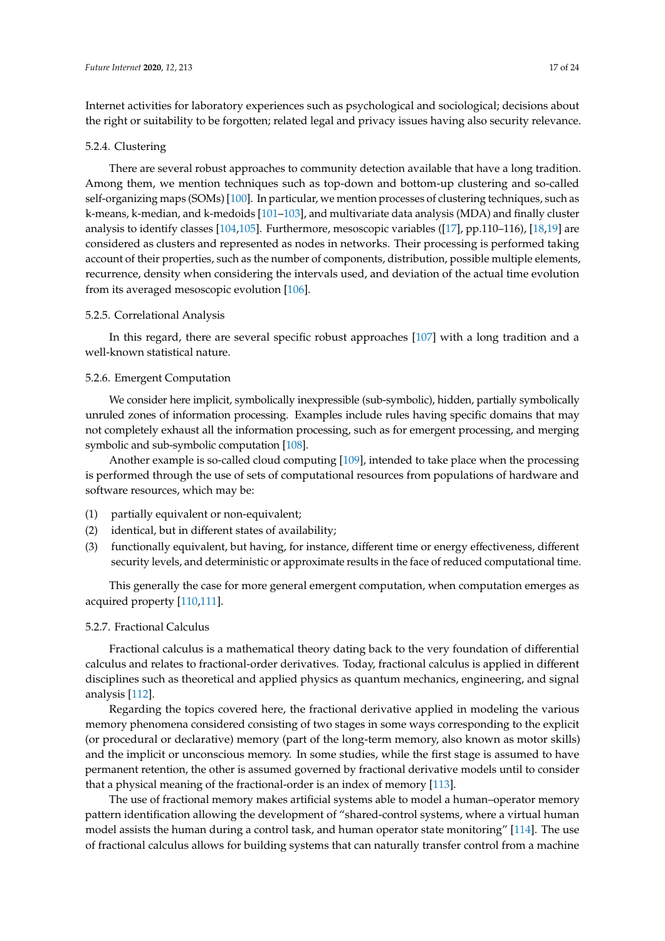Internet activities for laboratory experiences such as psychological and sociological; decisions about the right or suitability to be forgotten; related legal and privacy issues having also security relevance.

## 5.2.4. Clustering

There are several robust approaches to community detection available that have a long tradition. Among them, we mention techniques such as top-down and bottom-up clustering and so-called self-organizing maps (SOMs) [\[100\]](#page-22-15). In particular, we mention processes of clustering techniques, such as k-means, k-median, and k-medoids [\[101–](#page-22-16)[103\]](#page-22-17), and multivariate data analysis (MDA) and finally cluster analysis to identify classes [\[104,](#page-22-18)[105\]](#page-22-19). Furthermore, mesoscopic variables ([\[17\]](#page-19-14), pp.110–116), [\[18,](#page-19-15)[19\]](#page-19-16) are considered as clusters and represented as nodes in networks. Their processing is performed taking account of their properties, such as the number of components, distribution, possible multiple elements, recurrence, density when considering the intervals used, and deviation of the actual time evolution from its averaged mesoscopic evolution [\[106\]](#page-22-20).

## 5.2.5. Correlational Analysis

In this regard, there are several specific robust approaches [\[107\]](#page-22-21) with a long tradition and a well-known statistical nature.

## <span id="page-16-0"></span>5.2.6. Emergent Computation

We consider here implicit, symbolically inexpressible (sub-symbolic), hidden, partially symbolically unruled zones of information processing. Examples include rules having specific domains that may not completely exhaust all the information processing, such as for emergent processing, and merging symbolic and sub-symbolic computation [\[108\]](#page-22-22).

Another example is so-called cloud computing [\[109\]](#page-22-23), intended to take place when the processing is performed through the use of sets of computational resources from populations of hardware and software resources, which may be:

- (1) partially equivalent or non-equivalent;
- (2) identical, but in different states of availability;
- (3) functionally equivalent, but having, for instance, different time or energy effectiveness, different security levels, and deterministic or approximate results in the face of reduced computational time.

This generally the case for more general emergent computation, when computation emerges as acquired property [\[110](#page-22-24)[,111\]](#page-22-25).

## 5.2.7. Fractional Calculus

Fractional calculus is a mathematical theory dating back to the very foundation of differential calculus and relates to fractional-order derivatives. Today, fractional calculus is applied in different disciplines such as theoretical and applied physics as quantum mechanics, engineering, and signal analysis [\[112\]](#page-22-26).

Regarding the topics covered here, the fractional derivative applied in modeling the various memory phenomena considered consisting of two stages in some ways corresponding to the explicit (or procedural or declarative) memory (part of the long-term memory, also known as motor skills) and the implicit or unconscious memory. In some studies, while the first stage is assumed to have permanent retention, the other is assumed governed by fractional derivative models until to consider that a physical meaning of the fractional-order is an index of memory [\[113\]](#page-23-0).

The use of fractional memory makes artificial systems able to model a human–operator memory pattern identification allowing the development of "shared-control systems, where a virtual human model assists the human during a control task, and human operator state monitoring" [\[114\]](#page-23-1). The use of fractional calculus allows for building systems that can naturally transfer control from a machine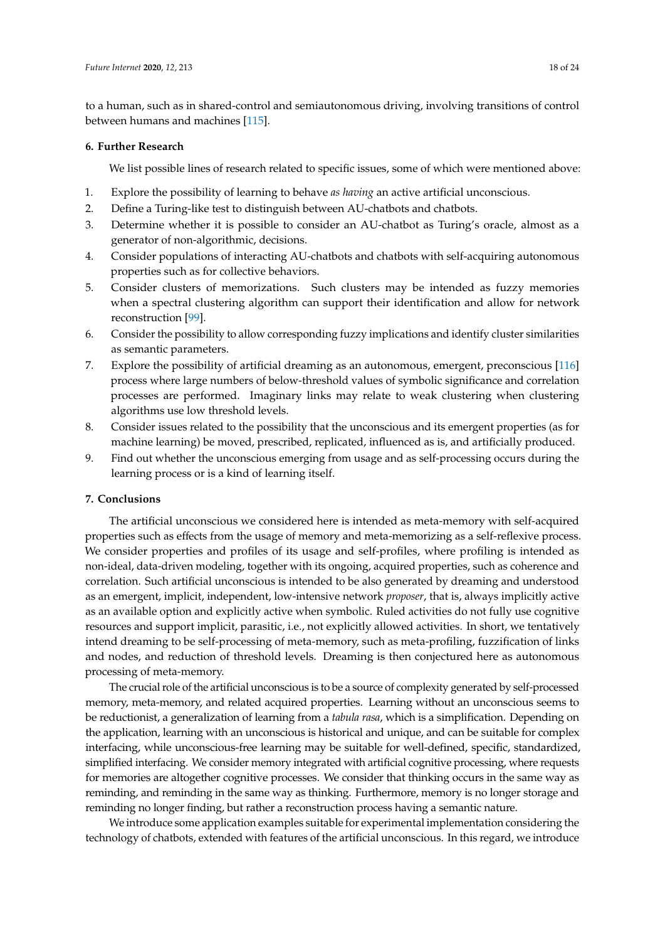to a human, such as in shared-control and semiautonomous driving, involving transitions of control between humans and machines [\[115\]](#page-23-2).

## <span id="page-17-0"></span>**6. Further Research**

We list possible lines of research related to specific issues, some of which were mentioned above:

- 1. Explore the possibility of learning to behave *as having* an active artificial unconscious.
- 2. Define a Turing-like test to distinguish between AU-chatbots and chatbots.
- 3. Determine whether it is possible to consider an AU-chatbot as Turing's oracle, almost as a generator of non-algorithmic, decisions.
- 4. Consider populations of interacting AU-chatbots and chatbots with self-acquiring autonomous properties such as for collective behaviors.
- 5. Consider clusters of memorizations. Such clusters may be intended as fuzzy memories when a spectral clustering algorithm can support their identification and allow for network reconstruction [\[99\]](#page-22-14).
- 6. Consider the possibility to allow corresponding fuzzy implications and identify cluster similarities as semantic parameters.
- 7. Explore the possibility of artificial dreaming as an autonomous, emergent, preconscious [\[116\]](#page-23-3) process where large numbers of below-threshold values of symbolic significance and correlation processes are performed. Imaginary links may relate to weak clustering when clustering algorithms use low threshold levels.
- 8. Consider issues related to the possibility that the unconscious and its emergent properties (as for machine learning) be moved, prescribed, replicated, influenced as is, and artificially produced.
- 9. Find out whether the unconscious emerging from usage and as self-processing occurs during the learning process or is a kind of learning itself.

# **7. Conclusions**

The artificial unconscious we considered here is intended as meta-memory with self-acquired properties such as effects from the usage of memory and meta-memorizing as a self-reflexive process. We consider properties and profiles of its usage and self-profiles, where profiling is intended as non-ideal, data-driven modeling, together with its ongoing, acquired properties, such as coherence and correlation. Such artificial unconscious is intended to be also generated by dreaming and understood as an emergent, implicit, independent, low-intensive network *proposer*, that is, always implicitly active as an available option and explicitly active when symbolic. Ruled activities do not fully use cognitive resources and support implicit, parasitic, i.e., not explicitly allowed activities. In short, we tentatively intend dreaming to be self-processing of meta-memory, such as meta-profiling, fuzzification of links and nodes, and reduction of threshold levels. Dreaming is then conjectured here as autonomous processing of meta-memory.

The crucial role of the artificial unconscious is to be a source of complexity generated by self-processed memory, meta-memory, and related acquired properties. Learning without an unconscious seems to be reductionist, a generalization of learning from a *tabula rasa*, which is a simplification. Depending on the application, learning with an unconscious is historical and unique, and can be suitable for complex interfacing, while unconscious-free learning may be suitable for well-defined, specific, standardized, simplified interfacing. We consider memory integrated with artificial cognitive processing, where requests for memories are altogether cognitive processes. We consider that thinking occurs in the same way as reminding, and reminding in the same way as thinking. Furthermore, memory is no longer storage and reminding no longer finding, but rather a reconstruction process having a semantic nature.

We introduce some application examples suitable for experimental implementation considering the technology of chatbots, extended with features of the artificial unconscious. In this regard, we introduce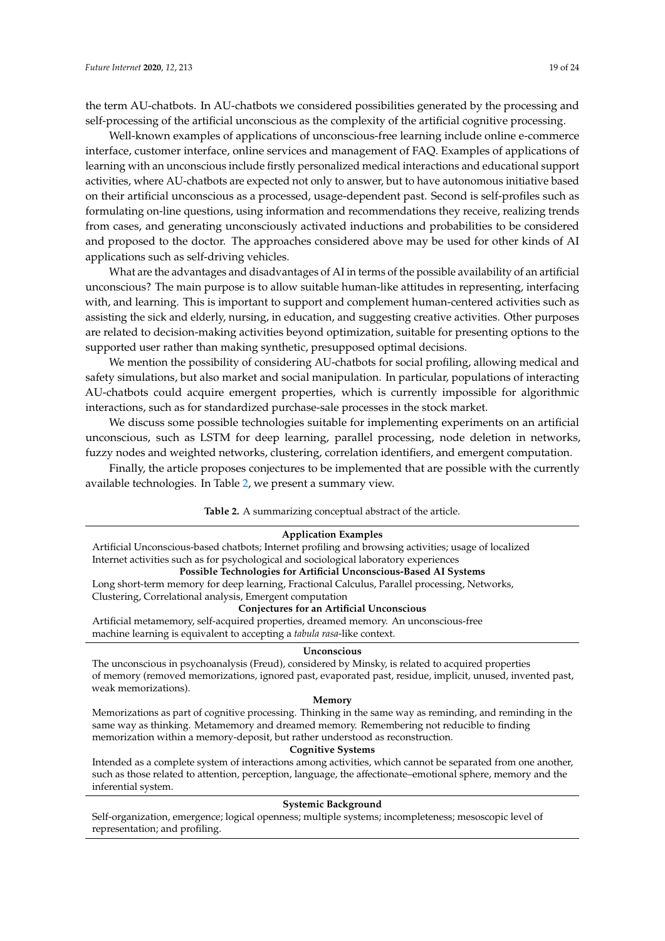the term AU-chatbots. In AU-chatbots we considered possibilities generated by the processing and self-processing of the artificial unconscious as the complexity of the artificial cognitive processing.

Well-known examples of applications of unconscious-free learning include online e-commerce interface, customer interface, online services and management of FAQ. Examples of applications of learning with an unconscious include firstly personalized medical interactions and educational support activities, where AU-chatbots are expected not only to answer, but to have autonomous initiative based on their artificial unconscious as a processed, usage-dependent past. Second is self-profiles such as formulating on-line questions, using information and recommendations they receive, realizing trends from cases, and generating unconsciously activated inductions and probabilities to be considered and proposed to the doctor. The approaches considered above may be used for other kinds of AI applications such as self-driving vehicles.

What are the advantages and disadvantages of AI in terms of the possible availability of an artificial unconscious? The main purpose is to allow suitable human-like attitudes in representing, interfacing with, and learning. This is important to support and complement human-centered activities such as assisting the sick and elderly, nursing, in education, and suggesting creative activities. Other purposes are related to decision-making activities beyond optimization, suitable for presenting options to the supported user rather than making synthetic, presupposed optimal decisions.

We mention the possibility of considering AU-chatbots for social profiling, allowing medical and safety simulations, but also market and social manipulation. In particular, populations of interacting AU-chatbots could acquire emergent properties, which is currently impossible for algorithmic interactions, such as for standardized purchase-sale processes in the stock market.

We discuss some possible technologies suitable for implementing experiments on an artificial unconscious, such as LSTM for deep learning, parallel processing, node deletion in networks, fuzzy nodes and weighted networks, clustering, correlation identifiers, and emergent computation.

<span id="page-18-0"></span>Finally, the article proposes conjectures to be implemented that are possible with the currently available technologies. In Table [2,](#page-18-0) we present a summary view.

#### **Table 2.** A summarizing conceptual abstract of the article.

#### **Application Examples**

Artificial Unconscious-based chatbots; Internet profiling and browsing activities; usage of localized Internet activities such as for psychological and sociological laboratory experiences

# **Possible Technologies for Artificial Unconscious-Based AI Systems**

Long short-term memory for deep learning, Fractional Calculus, Parallel processing, Networks, Clustering, Correlational analysis, Emergent computation

### **Conjectures for an Artificial Unconscious**

Artificial metamemory, self-acquired properties, dreamed memory. An unconscious-free machine learning is equivalent to accepting a *tabula rasa*-like context.

#### **Unconscious**

The unconscious in psychoanalysis (Freud), considered by Minsky, is related to acquired properties of memory (removed memorizations, ignored past, evaporated past, residue, implicit, unused, invented past, weak memorizations).

#### **Memory**

Memorizations as part of cognitive processing. Thinking in the same way as reminding, and reminding in the same way as thinking. Metamemory and dreamed memory. Remembering not reducible to finding memorization within a memory-deposit, but rather understood as reconstruction.

#### **Cognitive Systems**

Intended as a complete system of interactions among activities, which cannot be separated from one another, such as those related to attention, perception, language, the affectionate–emotional sphere, memory and the inferential system.

## **Systemic Background**

Self-organization, emergence; logical openness; multiple systems; incompleteness; mesoscopic level of representation; and profiling.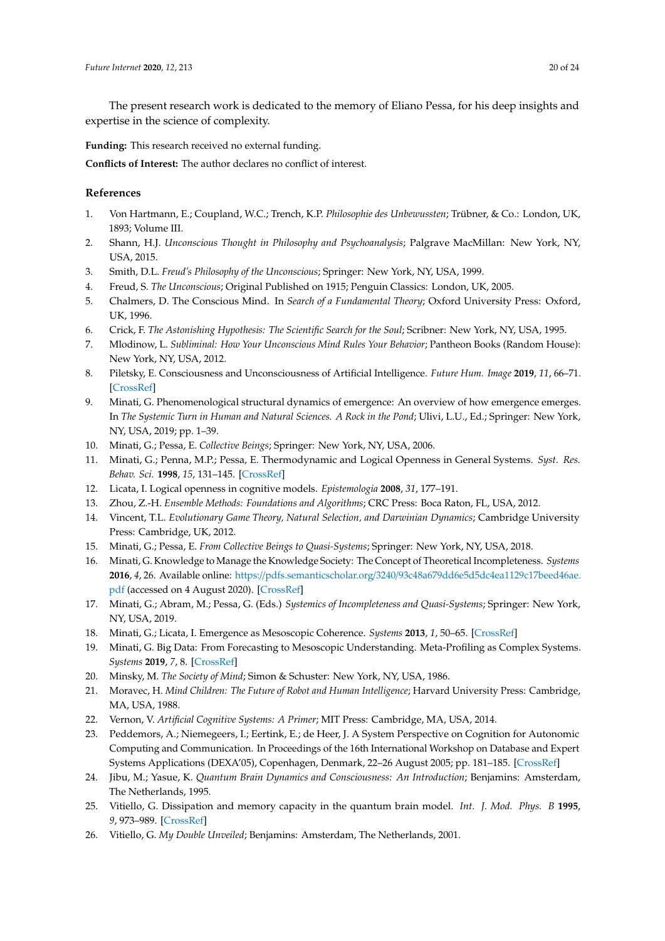The present research work is dedicated to the memory of Eliano Pessa, for his deep insights and expertise in the science of complexity.

**Funding:** This research received no external funding.

**Conflicts of Interest:** The author declares no conflict of interest.

# **References**

- <span id="page-19-0"></span>1. Von Hartmann, E.; Coupland, W.C.; Trench, K.P. *Philosophie des Unbewussten*; Trübner, & Co.: London, UK, 1893; Volume III.
- 2. Shann, H.J. *Unconscious Thought in Philosophy and Psychoanalysis*; Palgrave MacMillan: New York, NY, USA, 2015.
- <span id="page-19-1"></span>3. Smith, D.L. *Freud's Philosophy of the Unconscious*; Springer: New York, NY, USA, 1999.
- <span id="page-19-2"></span>4. Freud, S. *The Unconscious*; Original Published on 1915; Penguin Classics: London, UK, 2005.
- <span id="page-19-3"></span>5. Chalmers, D. The Conscious Mind. In *Search of a Fundamental Theory*; Oxford University Press: Oxford, UK, 1996.
- 6. Crick, F. *The Astonishing Hypothesis: The Scientific Search for the Soul*; Scribner: New York, NY, USA, 1995.
- <span id="page-19-4"></span>7. Mlodinow, L. *Subliminal: How Your Unconscious Mind Rules Your Behavior*; Pantheon Books (Random House): New York, NY, USA, 2012.
- <span id="page-19-5"></span>8. Piletsky, E. Consciousness and Unconsciousness of Artificial Intelligence. *Future Hum. Image* **2019**, *11*, 66–71. [\[CrossRef\]](http://dx.doi.org/10.29202/fhi/11/7)
- <span id="page-19-6"></span>9. Minati, G. Phenomenological structural dynamics of emergence: An overview of how emergence emerges. In *The Systemic Turn in Human and Natural Sciences. A Rock in the Pond*; Ulivi, L.U., Ed.; Springer: New York, NY, USA, 2019; pp. 1–39.
- <span id="page-19-7"></span>10. Minati, G.; Pessa, E. *Collective Beings*; Springer: New York, NY, USA, 2006.
- <span id="page-19-8"></span>11. Minati, G.; Penna, M.P.; Pessa, E. Thermodynamic and Logical Openness in General Systems. *Syst. Res. Behav. Sci.* **1998**, *15*, 131–145. [\[CrossRef\]](http://dx.doi.org/10.1002/(SICI)1099-1743(199803/04)15:2<131::AID-SRES127>3.0.CO;2-O)
- <span id="page-19-9"></span>12. Licata, I. Logical openness in cognitive models. *Epistemologia* **2008**, *31*, 177–191.
- <span id="page-19-10"></span>13. Zhou, Z.-H. *Ensemble Methods: Foundations and Algorithms*; CRC Press: Boca Raton, FL, USA, 2012.
- <span id="page-19-11"></span>14. Vincent, T.L. *Evolutionary Game Theory, Natural Selection, and Darwinian Dynamics*; Cambridge University Press: Cambridge, UK, 2012.
- <span id="page-19-12"></span>15. Minati, G.; Pessa, E. *From Collective Beings to Quasi-Systems*; Springer: New York, NY, USA, 2018.
- <span id="page-19-13"></span>16. Minati, G. Knowledge to Manage the Knowledge Society: The Concept of Theoretical Incompleteness. *Systems* **2016**, *4*, 26. Available online: https://pdfs.semanticscholar.org/3240/[93c48a679dd6e5d5dc4ea1129c17beed46ae.](https://pdfs.semanticscholar.org/3240/93c48a679dd6e5d5dc4ea1129c17beed46ae.pdf) [pdf](https://pdfs.semanticscholar.org/3240/93c48a679dd6e5d5dc4ea1129c17beed46ae.pdf) (accessed on 4 August 2020). [\[CrossRef\]](http://dx.doi.org/10.3390/systems4030026)
- <span id="page-19-14"></span>17. Minati, G.; Abram, M.; Pessa, G. (Eds.) *Systemics of Incompleteness and Quasi-Systems*; Springer: New York, NY, USA, 2019.
- <span id="page-19-15"></span>18. Minati, G.; Licata, I. Emergence as Mesoscopic Coherence. *Systems* **2013**, *1*, 50–65. [\[CrossRef\]](http://dx.doi.org/10.3390/systems1040050)
- <span id="page-19-16"></span>19. Minati, G. Big Data: From Forecasting to Mesoscopic Understanding. Meta-Profiling as Complex Systems. *Systems* **2019**, *7*, 8. [\[CrossRef\]](http://dx.doi.org/10.3390/systems7010008)
- <span id="page-19-17"></span>20. Minsky, M. *The Society of Mind*; Simon & Schuster: New York, NY, USA, 1986.
- <span id="page-19-18"></span>21. Moravec, H. *Mind Children: The Future of Robot and Human Intelligence*; Harvard University Press: Cambridge, MA, USA, 1988.
- <span id="page-19-19"></span>22. Vernon, V. *Artificial Cognitive Systems: A Primer*; MIT Press: Cambridge, MA, USA, 2014.
- <span id="page-19-20"></span>23. Peddemors, A.; Niemegeers, I.; Eertink, E.; de Heer, J. A System Perspective on Cognition for Autonomic Computing and Communication. In Proceedings of the 16th International Workshop on Database and Expert Systems Applications (DEXA'05), Copenhagen, Denmark, 22–26 August 2005; pp. 181–185. [\[CrossRef\]](http://dx.doi.org/10.1109/dexa.2005.33)
- <span id="page-19-21"></span>24. Jibu, M.; Yasue, K. *Quantum Brain Dynamics and Consciousness: An Introduction*; Benjamins: Amsterdam, The Netherlands, 1995.
- 25. Vitiello, G. Dissipation and memory capacity in the quantum brain model. *Int. J. Mod. Phys. B* **1995**, *9*, 973–989. [\[CrossRef\]](http://dx.doi.org/10.1142/S0217979295000380)
- <span id="page-19-22"></span>26. Vitiello, G. *My Double Unveiled*; Benjamins: Amsterdam, The Netherlands, 2001.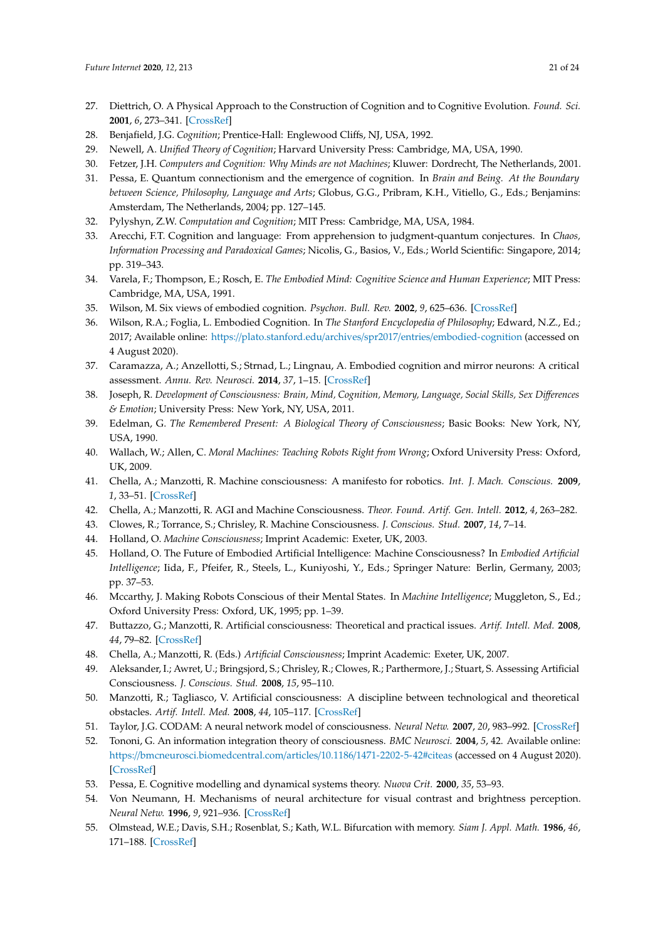- <span id="page-20-0"></span>27. Diettrich, O. A Physical Approach to the Construction of Cognition and to Cognitive Evolution. *Found. Sci.* **2001**, *6*, 273–341. [\[CrossRef\]](http://dx.doi.org/10.1023/A:1011610921631)
- 28. Benjafield, J.G. *Cognition*; Prentice-Hall: Englewood Cliffs, NJ, USA, 1992.
- 29. Newell, A. *Unified Theory of Cognition*; Harvard University Press: Cambridge, MA, USA, 1990.
- 30. Fetzer, J.H. *Computers and Cognition: Why Minds are not Machines*; Kluwer: Dordrecht, The Netherlands, 2001.
- 31. Pessa, E. Quantum connectionism and the emergence of cognition. In *Brain and Being. At the Boundary between Science, Philosophy, Language and Arts*; Globus, G.G., Pribram, K.H., Vitiello, G., Eds.; Benjamins: Amsterdam, The Netherlands, 2004; pp. 127–145.
- 32. Pylyshyn, Z.W. *Computation and Cognition*; MIT Press: Cambridge, MA, USA, 1984.
- <span id="page-20-1"></span>33. Arecchi, F.T. Cognition and language: From apprehension to judgment-quantum conjectures. In *Chaos, Information Processing and Paradoxical Games*; Nicolis, G., Basios, V., Eds.; World Scientific: Singapore, 2014; pp. 319–343.
- <span id="page-20-2"></span>34. Varela, F.; Thompson, E.; Rosch, E. *The Embodied Mind: Cognitive Science and Human Experience*; MIT Press: Cambridge, MA, USA, 1991.
- <span id="page-20-3"></span>35. Wilson, M. Six views of embodied cognition. *Psychon. Bull. Rev.* **2002**, *9*, 625–636. [\[CrossRef\]](http://dx.doi.org/10.3758/BF03196322)
- <span id="page-20-4"></span>36. Wilson, R.A.; Foglia, L. Embodied Cognition. In *The Stanford Encyclopedia of Philosophy*; Edward, N.Z., Ed.; 2017; Available online: https://plato.stanford.edu/archives/spr2017/entries/[embodied-cognition](https://plato.stanford.edu/archives/spr2017/entries/embodied-cognition) (accessed on 4 August 2020).
- <span id="page-20-5"></span>37. Caramazza, A.; Anzellotti, S.; Strnad, L.; Lingnau, A. Embodied cognition and mirror neurons: A critical assessment. *Annu. Rev. Neurosci.* **2014**, *37*, 1–15. [\[CrossRef\]](http://dx.doi.org/10.1146/annurev-neuro-071013-013950)
- <span id="page-20-6"></span>38. Joseph, R. *Development of Consciousness: Brain, Mind, Cognition, Memory, Language, Social Skills, Sex Di*ff*erences & Emotion*; University Press: New York, NY, USA, 2011.
- <span id="page-20-7"></span>39. Edelman, G. *The Remembered Present: A Biological Theory of Consciousness*; Basic Books: New York, NY, USA, 1990.
- <span id="page-20-8"></span>40. Wallach, W.; Allen, C. *Moral Machines: Teaching Robots Right from Wrong*; Oxford University Press: Oxford, UK, 2009.
- <span id="page-20-9"></span>41. Chella, A.; Manzotti, R. Machine consciousness: A manifesto for robotics. *Int. J. Mach. Conscious.* **2009**, *1*, 33–51. [\[CrossRef\]](http://dx.doi.org/10.1142/S1793843009000062)
- 42. Chella, A.; Manzotti, R. AGI and Machine Consciousness. *Theor. Found. Artif. Gen. Intell.* **2012**, *4*, 263–282.
- 43. Clowes, R.; Torrance, S.; Chrisley, R. Machine Consciousness. *J. Conscious. Stud.* **2007**, *14*, 7–14.
- 44. Holland, O. *Machine Consciousness*; Imprint Academic: Exeter, UK, 2003.
- 45. Holland, O. The Future of Embodied Artificial Intelligence: Machine Consciousness? In *Embodied Artificial Intelligence*; Iida, F., Pfeifer, R., Steels, L., Kuniyoshi, Y., Eds.; Springer Nature: Berlin, Germany, 2003; pp. 37–53.
- <span id="page-20-10"></span>46. Mccarthy, J. Making Robots Conscious of their Mental States. In *Machine Intelligence*; Muggleton, S., Ed.; Oxford University Press: Oxford, UK, 1995; pp. 1–39.
- <span id="page-20-11"></span>47. Buttazzo, G.; Manzotti, R. Artificial consciousness: Theoretical and practical issues. *Artif. Intell. Med.* **2008**, *44*, 79–82. [\[CrossRef\]](http://dx.doi.org/10.1016/j.artmed.2008.08.001)
- 48. Chella, A.; Manzotti, R. (Eds.) *Artificial Consciousness*; Imprint Academic: Exeter, UK, 2007.
- 49. Aleksander, I.; Awret, U.; Bringsjord, S.; Chrisley, R.; Clowes, R.; Parthermore, J.; Stuart, S. Assessing Artificial Consciousness. *J. Conscious. Stud.* **2008**, *15*, 95–110.
- <span id="page-20-12"></span>50. Manzotti, R.; Tagliasco, V. Artificial consciousness: A discipline between technological and theoretical obstacles. *Artif. Intell. Med.* **2008**, *44*, 105–117. [\[CrossRef\]](http://dx.doi.org/10.1016/j.artmed.2008.07.002)
- <span id="page-20-13"></span>51. Taylor, J.G. CODAM: A neural network model of consciousness. *Neural Netw.* **2007**, *20*, 983–992. [\[CrossRef\]](http://dx.doi.org/10.1016/j.neunet.2007.09.005)
- <span id="page-20-14"></span>52. Tononi, G. An information integration theory of consciousness. *BMC Neurosci.* **2004**, *5*, 42. Available online: https://[bmcneurosci.biomedcentral.com](https://bmcneurosci.biomedcentral.com/articles/10.1186/1471-2202-5-42#citeas)/articles/10.1186/1471-2202-5-42#citeas (accessed on 4 August 2020). [\[CrossRef\]](http://dx.doi.org/10.1186/1471-2202-5-42)
- <span id="page-20-15"></span>53. Pessa, E. Cognitive modelling and dynamical systems theory. *Nuova Crit.* **2000**, *35*, 53–93.
- <span id="page-20-16"></span>54. Von Neumann, H. Mechanisms of neural architecture for visual contrast and brightness perception. *Neural Netw.* **1996**, *9*, 921–936. [\[CrossRef\]](http://dx.doi.org/10.1016/0893-6080(96)00023-8)
- 55. Olmstead, W.E.; Davis, S.H.; Rosenblat, S.; Kath, W.L. Bifurcation with memory. *Siam J. Appl. Math.* **1986**, *46*, 171–188. [\[CrossRef\]](http://dx.doi.org/10.1137/0146013)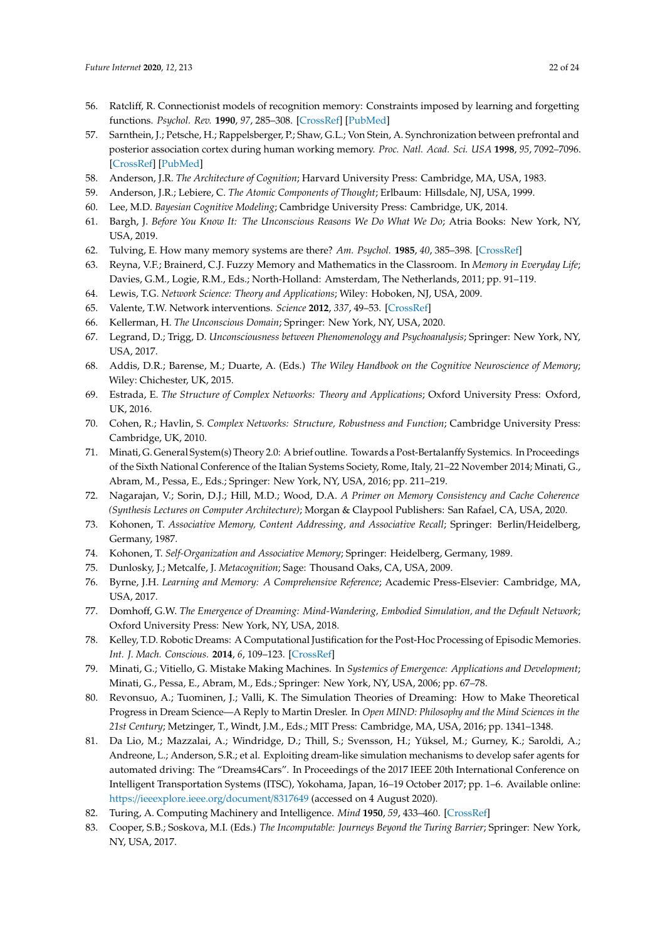- 56. Ratcliff, R. Connectionist models of recognition memory: Constraints imposed by learning and forgetting functions. *Psychol. Rev.* **1990**, *97*, 285–308. [\[CrossRef\]](http://dx.doi.org/10.1037/0033-295X.97.2.285) [\[PubMed\]](http://www.ncbi.nlm.nih.gov/pubmed/2186426)
- <span id="page-21-0"></span>57. Sarnthein, J.; Petsche, H.; Rappelsberger, P.; Shaw, G.L.; Von Stein, A. Synchronization between prefrontal and posterior association cortex during human working memory. *Proc. Natl. Acad. Sci. USA* **1998**, *95*, 7092–7096. [\[CrossRef\]](http://dx.doi.org/10.1073/pnas.95.12.7092) [\[PubMed\]](http://www.ncbi.nlm.nih.gov/pubmed/9618544)
- <span id="page-21-1"></span>58. Anderson, J.R. *The Architecture of Cognition*; Harvard University Press: Cambridge, MA, USA, 1983.
- 59. Anderson, J.R.; Lebiere, C. *The Atomic Components of Thought*; Erlbaum: Hillsdale, NJ, USA, 1999.
- <span id="page-21-3"></span><span id="page-21-2"></span>60. Lee, M.D. *Bayesian Cognitive Modeling*; Cambridge University Press: Cambridge, UK, 2014.
- 61. Bargh, J. *Before You Know It: The Unconscious Reasons We Do What We Do*; Atria Books: New York, NY, USA, 2019.
- <span id="page-21-4"></span>62. Tulving, E. How many memory systems are there? *Am. Psychol.* **1985**, *40*, 385–398. [\[CrossRef\]](http://dx.doi.org/10.1037/0003-066X.40.4.385)
- <span id="page-21-5"></span>63. Reyna, V.F.; Brainerd, C.J. Fuzzy Memory and Mathematics in the Classroom. In *Memory in Everyday Life*; Davies, G.M., Logie, R.M., Eds.; North-Holland: Amsterdam, The Netherlands, 2011; pp. 91–119.
- <span id="page-21-6"></span>64. Lewis, T.G. *Network Science: Theory and Applications*; Wiley: Hoboken, NJ, USA, 2009.
- <span id="page-21-7"></span>65. Valente, T.W. Network interventions. *Science* **2012**, *337*, 49–53. [\[CrossRef\]](http://dx.doi.org/10.1126/science.1217330)
- <span id="page-21-8"></span>66. Kellerman, H. *The Unconscious Domain*; Springer: New York, NY, USA, 2020.
- <span id="page-21-9"></span>67. Legrand, D.; Trigg, D. *Unconsciousness between Phenomenology and Psychoanalysis*; Springer: New York, NY, USA, 2017.
- <span id="page-21-10"></span>68. Addis, D.R.; Barense, M.; Duarte, A. (Eds.) *The Wiley Handbook on the Cognitive Neuroscience of Memory*; Wiley: Chichester, UK, 2015.
- <span id="page-21-11"></span>69. Estrada, E. *The Structure of Complex Networks: Theory and Applications*; Oxford University Press: Oxford, UK, 2016.
- <span id="page-21-12"></span>70. Cohen, R.; Havlin, S. *Complex Networks: Structure, Robustness and Function*; Cambridge University Press: Cambridge, UK, 2010.
- <span id="page-21-13"></span>71. Minati, G. General System(s) Theory 2.0: A brief outline. Towards a Post-Bertalanffy Systemics. In Proceedings of the Sixth National Conference of the Italian Systems Society, Rome, Italy, 21–22 November 2014; Minati, G., Abram, M., Pessa, E., Eds.; Springer: New York, NY, USA, 2016; pp. 211–219.
- <span id="page-21-14"></span>72. Nagarajan, V.; Sorin, D.J.; Hill, M.D.; Wood, D.A. *A Primer on Memory Consistency and Cache Coherence (Synthesis Lectures on Computer Architecture)*; Morgan & Claypool Publishers: San Rafael, CA, USA, 2020.
- <span id="page-21-15"></span>73. Kohonen, T. *Associative Memory, Content Addressing, and Associative Recall*; Springer: Berlin/Heidelberg, Germany, 1987.
- <span id="page-21-16"></span>74. Kohonen, T. *Self-Organization and Associative Memory*; Springer: Heidelberg, Germany, 1989.
- <span id="page-21-17"></span>75. Dunlosky, J.; Metcalfe, J. *Metacognition*; Sage: Thousand Oaks, CA, USA, 2009.
- <span id="page-21-18"></span>76. Byrne, J.H. *Learning and Memory: A Comprehensive Reference*; Academic Press-Elsevier: Cambridge, MA, USA, 2017.
- <span id="page-21-19"></span>77. Domhoff, G.W. *The Emergence of Dreaming: Mind-Wandering, Embodied Simulation, and the Default Network*; Oxford University Press: New York, NY, USA, 2018.
- <span id="page-21-20"></span>78. Kelley, T.D. Robotic Dreams: A Computational Justification for the Post-Hoc Processing of Episodic Memories. *Int. J. Mach. Conscious.* **2014**, *6*, 109–123. [\[CrossRef\]](http://dx.doi.org/10.1142/S1793843014400149)
- <span id="page-21-21"></span>79. Minati, G.; Vitiello, G. Mistake Making Machines. In *Systemics of Emergence: Applications and Development*; Minati, G., Pessa, E., Abram, M., Eds.; Springer: New York, NY, USA, 2006; pp. 67–78.
- <span id="page-21-22"></span>80. Revonsuo, A.; Tuominen, J.; Valli, K. The Simulation Theories of Dreaming: How to Make Theoretical Progress in Dream Science—A Reply to Martin Dresler. In *Open MIND: Philosophy and the Mind Sciences in the 21st Century*; Metzinger, T., Windt, J.M., Eds.; MIT Press: Cambridge, MA, USA, 2016; pp. 1341–1348.
- <span id="page-21-23"></span>81. Da Lio, M.; Mazzalai, A.; Windridge, D.; Thill, S.; Svensson, H.; Yüksel, M.; Gurney, K.; Saroldi, A.; Andreone, L.; Anderson, S.R.; et al. Exploiting dream-like simulation mechanisms to develop safer agents for automated driving: The "Dreams4Cars". In Proceedings of the 2017 IEEE 20th International Conference on Intelligent Transportation Systems (ITSC), Yokohama, Japan, 16–19 October 2017; pp. 1–6. Available online: https://[ieeexplore.ieee.org](https://ieeexplore.ieee.org/document/8317649)/document/8317649 (accessed on 4 August 2020).
- <span id="page-21-24"></span>82. Turing, A. Computing Machinery and Intelligence. *Mind* **1950**, *59*, 433–460. [\[CrossRef\]](http://dx.doi.org/10.1093/mind/LIX.236.433)
- 83. Cooper, S.B.; Soskova, M.I. (Eds.) *The Incomputable: Journeys Beyond the Turing Barrier*; Springer: New York, NY, USA, 2017.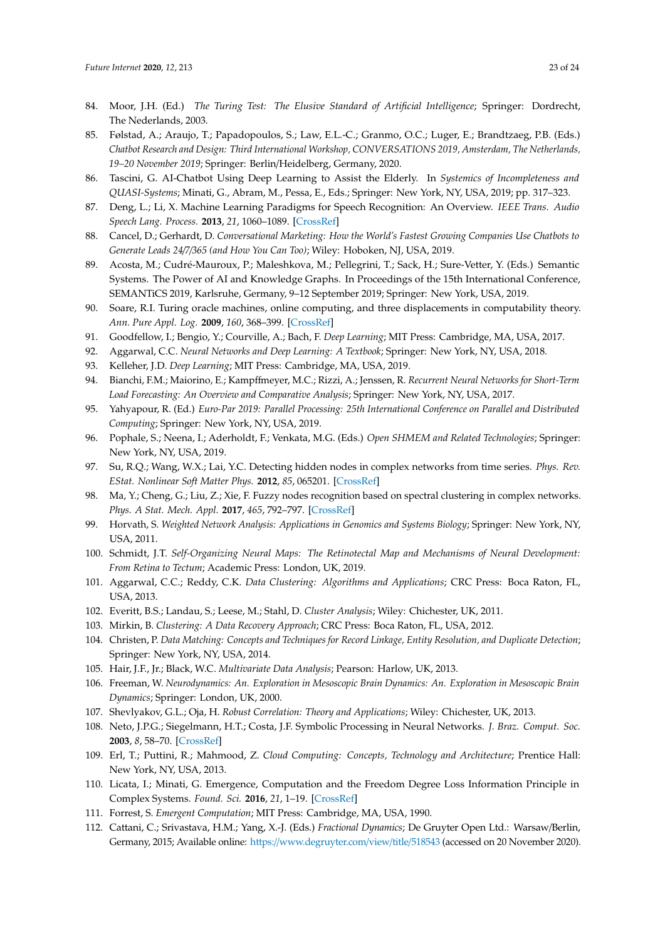- <span id="page-22-0"></span>84. Moor, J.H. (Ed.) *The Turing Test: The Elusive Standard of Artificial Intelligence*; Springer: Dordrecht, The Nederlands, 2003.
- <span id="page-22-1"></span>85. Følstad, A.; Araujo, T.; Papadopoulos, S.; Law, E.L.-C.; Granmo, O.C.; Luger, E.; Brandtzaeg, P.B. (Eds.) *Chatbot Research and Design: Third International Workshop, CONVERSATIONS 2019, Amsterdam, The Netherlands, 19–20 November 2019*; Springer: Berlin/Heidelberg, Germany, 2020.
- <span id="page-22-2"></span>86. Tascini, G. AI-Chatbot Using Deep Learning to Assist the Elderly. In *Systemics of Incompleteness and QUASI-Systems*; Minati, G., Abram, M., Pessa, E., Eds.; Springer: New York, NY, USA, 2019; pp. 317–323.
- <span id="page-22-3"></span>87. Deng, L.; Li, X. Machine Learning Paradigms for Speech Recognition: An Overview. *IEEE Trans. Audio Speech Lang. Process.* **2013**, *21*, 1060–1089. [\[CrossRef\]](http://dx.doi.org/10.1109/TASL.2013.2244083)
- <span id="page-22-4"></span>88. Cancel, D.; Gerhardt, D. *Conversational Marketing: How the World's Fastest Growing Companies Use Chatbots to Generate Leads 24*/*7*/*365 (and How You Can Too)*; Wiley: Hoboken, NJ, USA, 2019.
- <span id="page-22-5"></span>89. Acosta, M.; Cudré-Mauroux, P.; Maleshkova, M.; Pellegrini, T.; Sack, H.; Sure-Vetter, Y. (Eds.) Semantic Systems. The Power of AI and Knowledge Graphs. In Proceedings of the 15th International Conference, SEMANTiCS 2019, Karlsruhe, Germany, 9–12 September 2019; Springer: New York, USA, 2019.
- <span id="page-22-6"></span>90. Soare, R.I. Turing oracle machines, online computing, and three displacements in computability theory. *Ann. Pure Appl. Log.* **2009**, *160*, 368–399. [\[CrossRef\]](http://dx.doi.org/10.1016/j.apal.2009.01.008)
- <span id="page-22-7"></span>91. Goodfellow, I.; Bengio, Y.; Courville, A.; Bach, F. *Deep Learning*; MIT Press: Cambridge, MA, USA, 2017.
- <span id="page-22-8"></span>92. Aggarwal, C.C. *Neural Networks and Deep Learning: A Textbook*; Springer: New York, NY, USA, 2018.
- <span id="page-22-9"></span>93. Kelleher, J.D. *Deep Learning*; MIT Press: Cambridge, MA, USA, 2019.
- 94. Bianchi, F.M.; Maiorino, E.; Kampffmeyer, M.C.; Rizzi, A.; Jenssen, R. *Recurrent Neural Networks for Short-Term Load Forecasting: An Overview and Comparative Analysis*; Springer: New York, NY, USA, 2017.
- <span id="page-22-10"></span>95. Yahyapour, R. (Ed.) *Euro-Par 2019: Parallel Processing: 25th International Conference on Parallel and Distributed Computing*; Springer: New York, NY, USA, 2019.
- <span id="page-22-11"></span>96. Pophale, S.; Neena, I.; Aderholdt, F.; Venkata, M.G. (Eds.) *Open SHMEM and Related Technologies*; Springer: New York, NY, USA, 2019.
- <span id="page-22-12"></span>97. Su, R.Q.; Wang, W.X.; Lai, Y.C. Detecting hidden nodes in complex networks from time series. *Phys. Rev. EStat. Nonlinear Soft Matter Phys.* **2012**, *85*, 065201. [\[CrossRef\]](http://dx.doi.org/10.1103/PhysRevE.85.065201)
- <span id="page-22-13"></span>98. Ma, Y.; Cheng, G.; Liu, Z.; Xie, F. Fuzzy nodes recognition based on spectral clustering in complex networks. *Phys. A Stat. Mech. Appl.* **2017**, *465*, 792–797. [\[CrossRef\]](http://dx.doi.org/10.1016/j.physa.2016.08.022)
- <span id="page-22-14"></span>99. Horvath, S. *Weighted Network Analysis: Applications in Genomics and Systems Biology*; Springer: New York, NY, USA, 2011.
- <span id="page-22-15"></span>100. Schmidt, J.T. *Self-Organizing Neural Maps: The Retinotectal Map and Mechanisms of Neural Development: From Retina to Tectum*; Academic Press: London, UK, 2019.
- <span id="page-22-16"></span>101. Aggarwal, C.C.; Reddy, C.K. *Data Clustering: Algorithms and Applications*; CRC Press: Boca Raton, FL, USA, 2013.
- 102. Everitt, B.S.; Landau, S.; Leese, M.; Stahl, D. *Cluster Analysis*; Wiley: Chichester, UK, 2011.
- <span id="page-22-17"></span>103. Mirkin, B. *Clustering: A Data Recovery Approach*; CRC Press: Boca Raton, FL, USA, 2012.
- <span id="page-22-18"></span>104. Christen, P. *Data Matching: Concepts and Techniques for Record Linkage, Entity Resolution, and Duplicate Detection*; Springer: New York, NY, USA, 2014.
- <span id="page-22-19"></span>105. Hair, J.F., Jr.; Black, W.C. *Multivariate Data Analysis*; Pearson: Harlow, UK, 2013.
- <span id="page-22-20"></span>106. Freeman, W. *Neurodynamics: An. Exploration in Mesoscopic Brain Dynamics: An. Exploration in Mesoscopic Brain Dynamics*; Springer: London, UK, 2000.
- <span id="page-22-22"></span><span id="page-22-21"></span>107. Shevlyakov, G.L.; Oja, H. *Robust Correlation: Theory and Applications*; Wiley: Chichester, UK, 2013.
- 108. Neto, J.P.G.; Siegelmann, H.T.; Costa, J.F. Symbolic Processing in Neural Networks. *J. Braz. Comput. Soc.* **2003**, *8*, 58–70. [\[CrossRef\]](http://dx.doi.org/10.1590/S0104-65002003000100005)
- <span id="page-22-23"></span>109. Erl, T.; Puttini, R.; Mahmood, Z. *Cloud Computing: Concepts, Technology and Architecture*; Prentice Hall: New York, NY, USA, 2013.
- <span id="page-22-24"></span>110. Licata, I.; Minati, G. Emergence, Computation and the Freedom Degree Loss Information Principle in Complex Systems. *Found. Sci.* **2016**, *21*, 1–19. [\[CrossRef\]](http://dx.doi.org/10.1007/s10699-016-9503-x)
- <span id="page-22-25"></span>111. Forrest, S. *Emergent Computation*; MIT Press: Cambridge, MA, USA, 1990.
- <span id="page-22-26"></span>112. Cattani, C.; Srivastava, H.M.; Yang, X.-J. (Eds.) *Fractional Dynamics*; De Gruyter Open Ltd.: Warsaw/Berlin, Germany, 2015; Available online: https://[www.degruyter.com](https://www.degruyter.com/view/title/518543)/view/title/518543 (accessed on 20 November 2020).